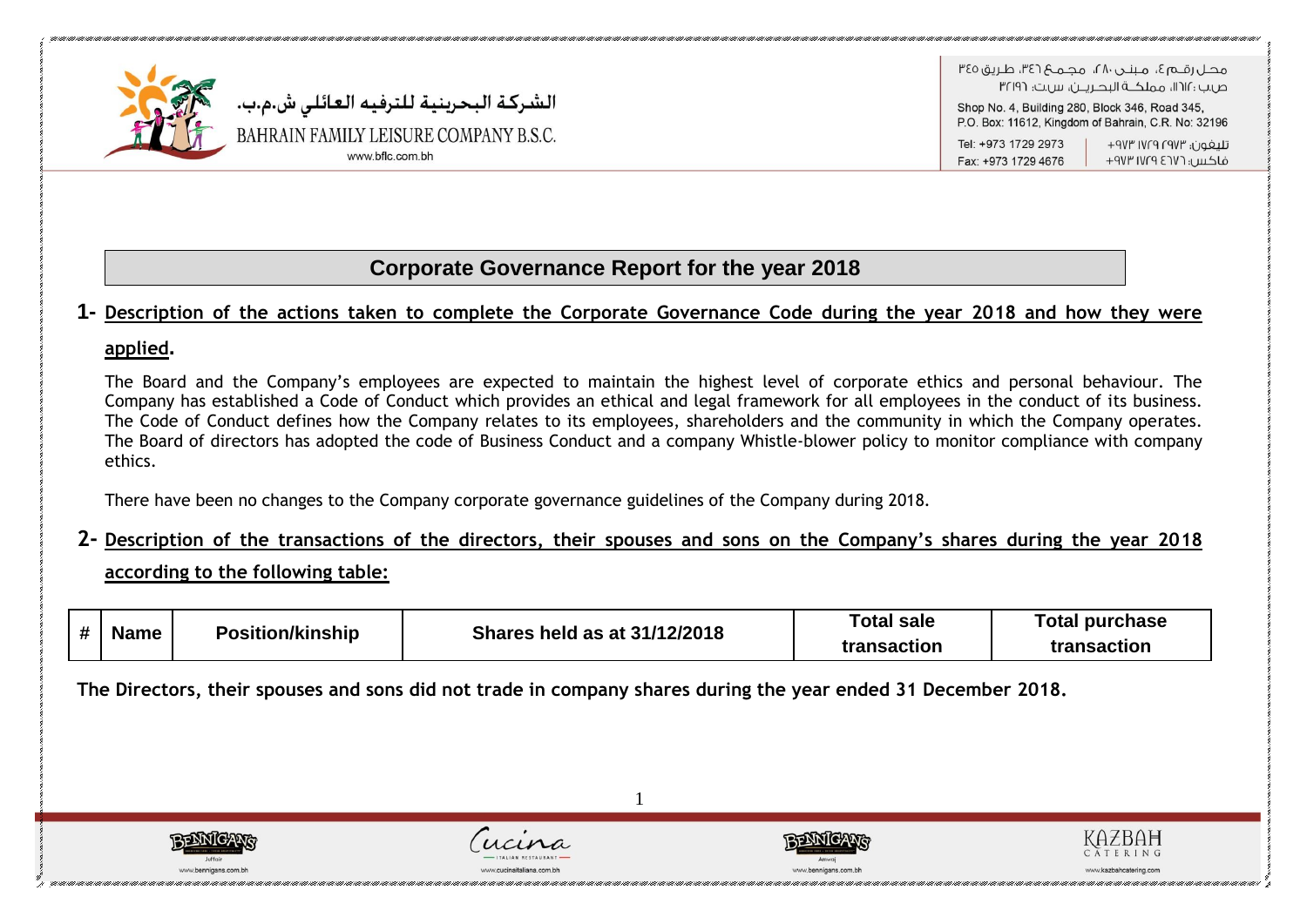

ص بن : ١٢١٢، مملكــة البدرير بن س بت: ٣٢١٩٦

Shop No. 4, Building 280, Block 346, Road 345, P.O. Box: 11612, Kingdom of Bahrain, C.R. No: 32196

Tel: +973 1729 2973 Fax: +973 1729 4676

تلىغون؛ ١٧٢٣ ١٧٢٩ ٩٧٣ فاكس: ١٧٢٦ ١٧٢٩ ٩٧٣

## **Corporate Governance Report for the year 2018**

### **1- Description of the actions taken to complete the Corporate Governance Code during the year 2018 and how they were**

### **applied.**

The Board and the Company's employees are expected to maintain the highest level of corporate ethics and personal behaviour. The Company has established a Code of Conduct which provides an ethical and legal framework for all employees in the conduct of its business. The Code of Conduct defines how the Company relates to its employees, shareholders and the community in which the Company operates. The Board of directors has adopted the code of Business Conduct and a company Whistle-blower policy to monitor compliance with company ethics.

There have been no changes to the Company corporate governance guidelines of the Company during 2018.

**2- Description of the transactions of the directors, their spouses and sons on the Company's shares during the year 2018 according to the following table:**

|            | <b>Name</b> | <b>Position/kinship</b> | <b>Shares held as at 31/12/2018</b> | Total sale  | Total purchase |
|------------|-------------|-------------------------|-------------------------------------|-------------|----------------|
| $\bm{\pi}$ |             |                         |                                     | transaction | transaction    |

1

**The Directors, their spouses and sons did not trade in company shares during the year ended 31 December 2018.**







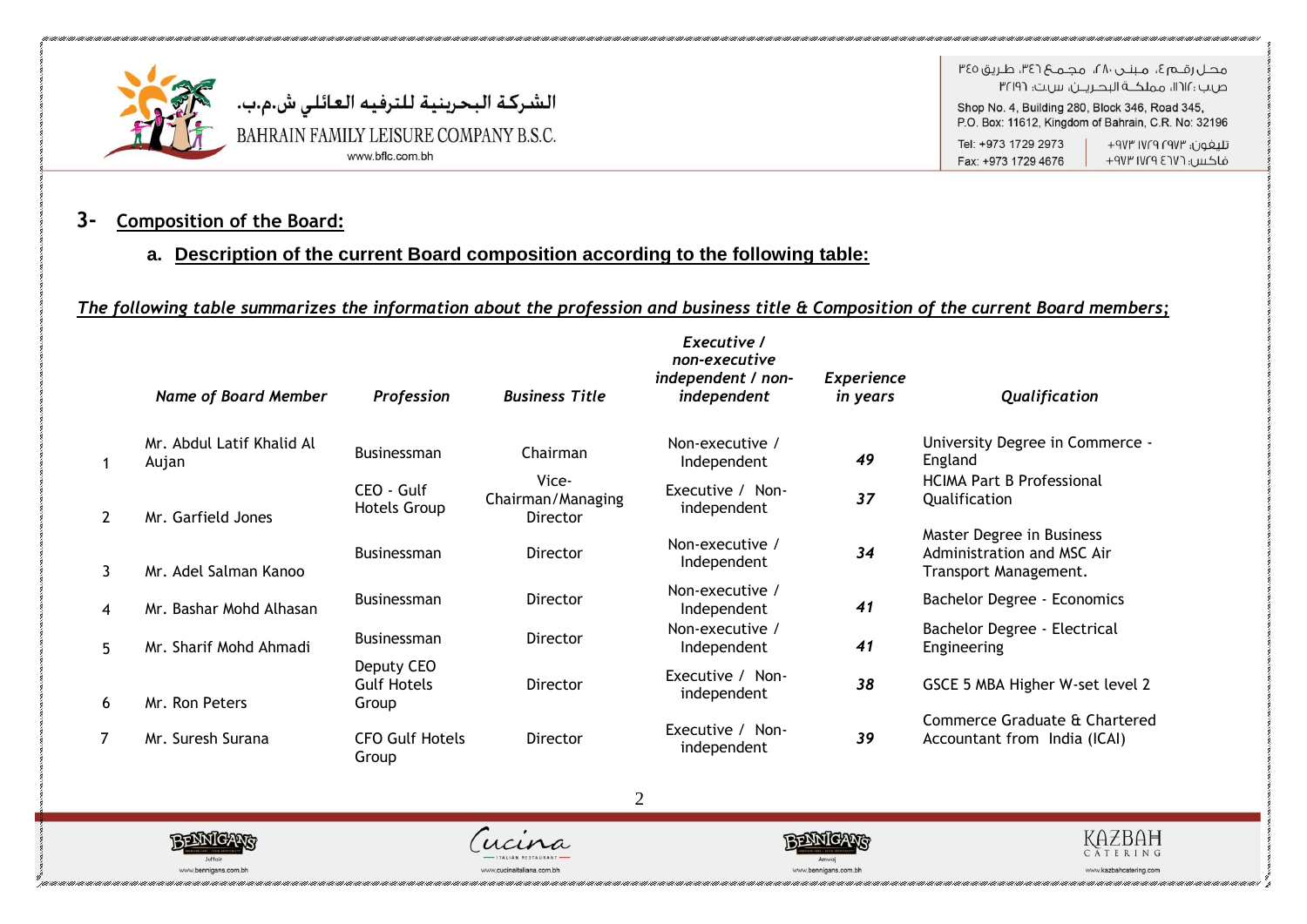

هجاراقيها ع، مينجر، ٢٨، مجميع ٣٤٦، طريق ٣٤٥ ص.ب : ١١٢١١، مملكــة البحـريــن، س.ت: ٣٢١٩٦

Shop No. 4, Building 280, Block 346, Road 345, P.O. Box: 11612, Kingdom of Bahrain, C.R. No: 32196

Tel: +973 1729 2973 Fax: +973 1729 4676

### تليغون؛ ١٧٢٩ ١٧٢٩ ٩٧٣+ فاكس: ١٧٢٦ ١٧٢٩ ٩٧٣

### **3- Composition of the Board:**

### **a. Description of the current Board composition according to the following table:**

### *The following table summarizes the information about the profession and business title & Composition of the current Board members;*

|                | Name of Board Member               | <b>Profession</b>                         | <b>Business Title</b>                  | Executive /<br>non-executive<br>independent / non-<br>independent | <b>Experience</b><br><i>in years</i> | Qualification                                                                    |
|----------------|------------------------------------|-------------------------------------------|----------------------------------------|-------------------------------------------------------------------|--------------------------------------|----------------------------------------------------------------------------------|
|                | Mr. Abdul Latif Khalid Al<br>Aujan | <b>Businessman</b>                        | Chairman                               | Non-executive /<br>Independent                                    | 49                                   | University Degree in Commerce -<br>England                                       |
| $\overline{2}$ | Mr. Garfield Jones                 | CEO - Gulf<br><b>Hotels Group</b>         | Vice-<br>Chairman/Managing<br>Director | Executive / Non-<br>independent                                   | 37                                   | <b>HCIMA Part B Professional</b><br>Qualification                                |
| $\mathbf{3}$   | Mr. Adel Salman Kanoo              | <b>Businessman</b>                        | Director                               | Non-executive /<br>Independent                                    | 34                                   | Master Degree in Business<br>Administration and MSC Air<br>Transport Management. |
| $\overline{4}$ | Mr. Bashar Mohd Alhasan            | <b>Businessman</b>                        | Director                               | Non-executive /<br>Independent                                    | 41                                   | Bachelor Degree - Economics                                                      |
| 5              | Mr. Sharif Mohd Ahmadi             | Businessman                               | Director                               | Non-executive /<br>Independent                                    | 41                                   | Bachelor Degree - Electrical<br>Engineering                                      |
| 6              | Mr. Ron Peters                     | Deputy CEO<br><b>Gulf Hotels</b><br>Group | Director                               | Executive / Non-<br>independent                                   | 38                                   | GSCE 5 MBA Higher W-set level 2                                                  |
| 7              | Mr. Suresh Surana                  | <b>CFO Gulf Hotels</b><br>Group           | Director                               | Executive / Non-<br>independent                                   | 39                                   | Commerce Graduate & Chartered<br>Accountant from India (ICAI)                    |







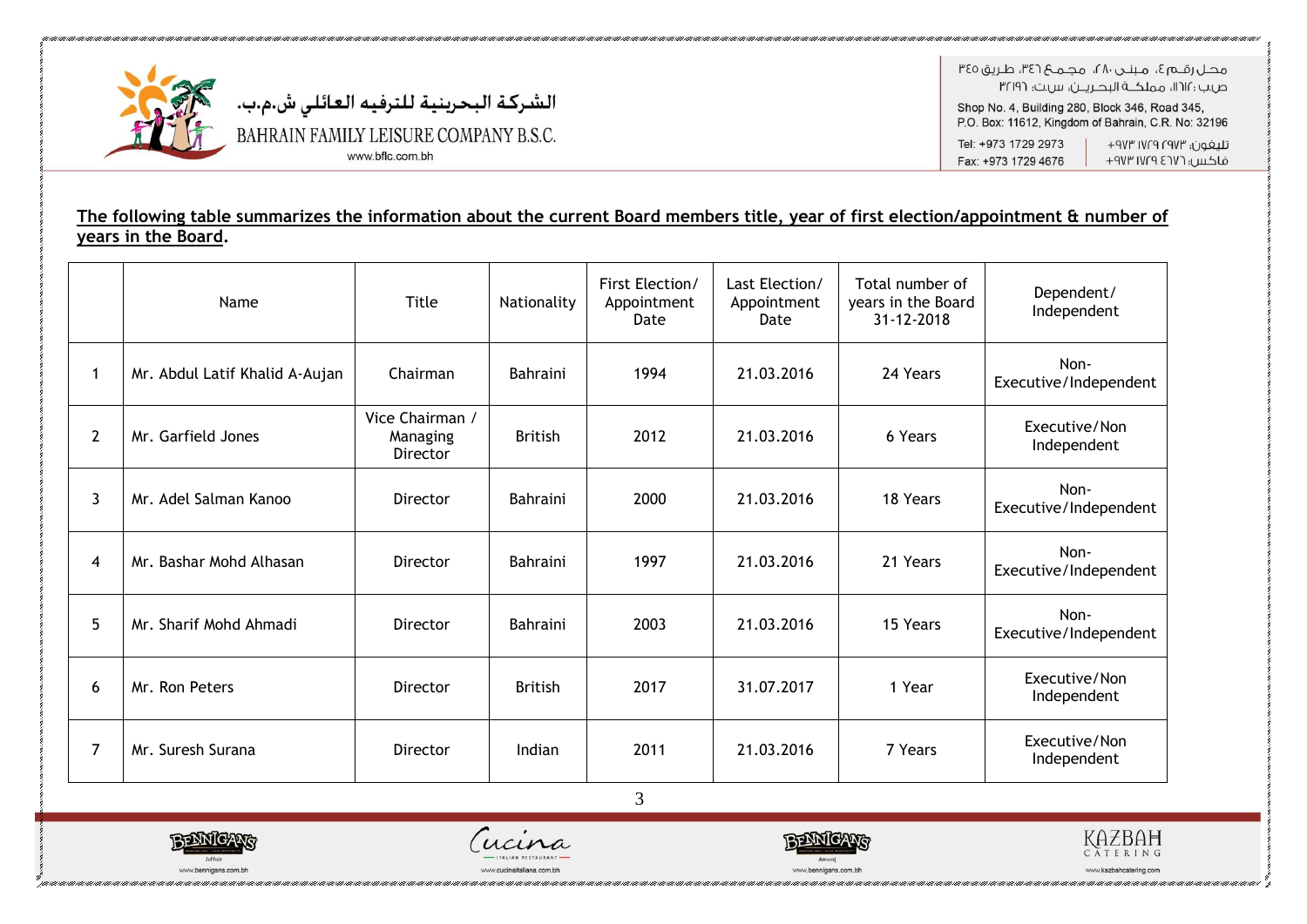

هجل رقبه ؟، منتجي ٢٨، محله؟ ٣٤٦، طريق ٣٤٥ ص.ب : ١١٢١١، مملكــة البحـريــن، س.ت: ٣٢١٩٦

Shop No. 4, Building 280, Block 346, Road 345, P.O. Box: 11612, Kingdom of Bahrain, C.R. No: 32196

Tel: +973 1729 2973 Fax: +973 1729 4676

تليفون؛ ١٧٢٩ ١٧٢٩ ٩٧٣+ فاكس: ١٧٢٦ ١٧٢٩ ٩٧٣

### The following table summarizes the information about the current Board members title, year of first election/appointment & number of years in the Board.

|                | Name                           | Title                                   | Nationality     | First Election/<br>Appointment<br>Date | Last Election/<br>Appointment<br>Date | Total number of<br>years in the Board<br>31-12-2018 | Dependent/<br>Independent     |
|----------------|--------------------------------|-----------------------------------------|-----------------|----------------------------------------|---------------------------------------|-----------------------------------------------------|-------------------------------|
| 1              | Mr. Abdul Latif Khalid A-Aujan | Chairman                                | <b>Bahraini</b> | 1994                                   | 21.03.2016                            | 24 Years                                            | Non-<br>Executive/Independent |
| $\overline{2}$ | Mr. Garfield Jones             | Vice Chairman /<br>Managing<br>Director | <b>British</b>  | 2012                                   | 21.03.2016                            | 6 Years                                             | Executive/Non<br>Independent  |
| $\overline{3}$ | Mr. Adel Salman Kanoo          | Director                                | <b>Bahraini</b> | 2000                                   | 21.03.2016                            | 18 Years                                            | Non-<br>Executive/Independent |
| 4              | Mr. Bashar Mohd Alhasan        | Director                                | <b>Bahraini</b> | 1997                                   | 21.03.2016                            | 21 Years                                            | Non-<br>Executive/Independent |
| 5              | Mr. Sharif Mohd Ahmadi         | Director                                | <b>Bahraini</b> | 2003                                   | 21.03.2016                            | 15 Years                                            | Non-<br>Executive/Independent |
| 6              | Mr. Ron Peters                 | Director                                | <b>British</b>  | 2017                                   | 31.07.2017                            | 1 Year                                              | Executive/Non<br>Independent  |
| $\overline{7}$ | Mr. Suresh Surana              | Director                                | Indian          | 2011                                   | 21.03.2016                            | 7 Years                                             | Executive/Non<br>Independent  |
|                |                                |                                         |                 | 3                                      |                                       |                                                     |                               |





ww.cucinaitaliana.com.bh



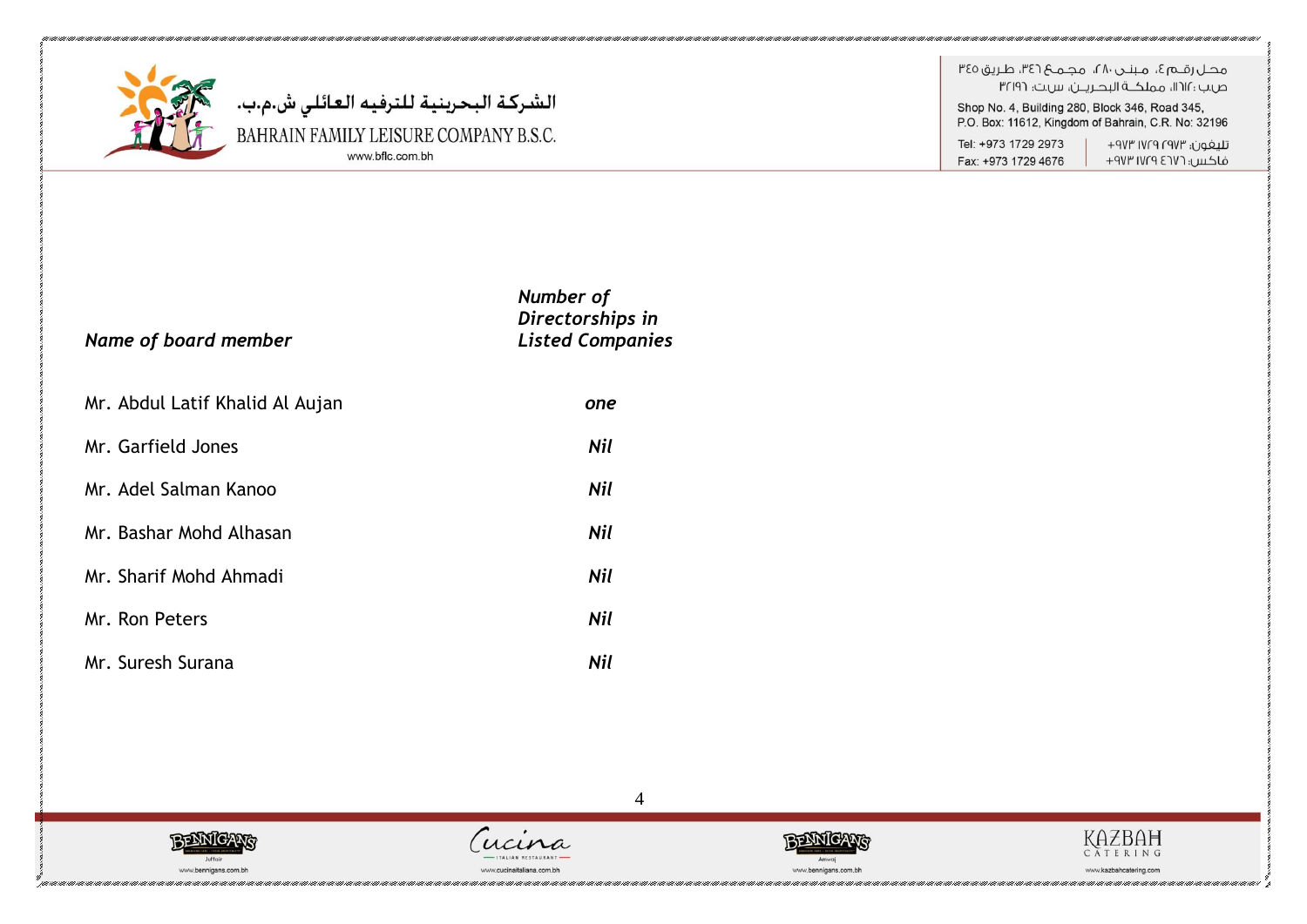

الشركة البحرينية للترفيه العائلي ش.م.ب.<br>BAHRAIN FAMILY LEISURE COMPANY B.S.C.<br>‱.bfic.com.bh

هجل رقبه ؟، منتدر ٢٨، محميم ٣٤٦، طريق ٣٤٥ ص.ب :١١٢١، مملكــة البحـريــن، س.ت: ٣٢١٩٦ Shop No. 4, Building 280, Block 346, Road 345,

P.O. Box: 11612, Kingdom of Bahrain, C.R. No: 32196

Tel: +973 1729 2973 Fax: +973 1729 4676

تليغون؛ ١٧٢٩ ١٧٢٩ ٩٧٣+ فاكس: ١٧٢٦ ١٧٢٩ ٩٧٣

| Name of board member            | Number of<br>Directorships in<br><b>Listed Companies</b> |
|---------------------------------|----------------------------------------------------------|
| Mr. Abdul Latif Khalid Al Aujan | one                                                      |
| Mr. Garfield Jones              | Nil                                                      |
| Mr. Adel Salman Kanoo           | Nil                                                      |
| Mr. Bashar Mohd Alhasan         | Nil                                                      |
| Mr. Sharif Mohd Ahmadi          | Nil                                                      |
| Mr. Ron Peters                  | Nil                                                      |
| Mr. Suresh Surana               | Nil                                                      |





 $\overline{4}$ 



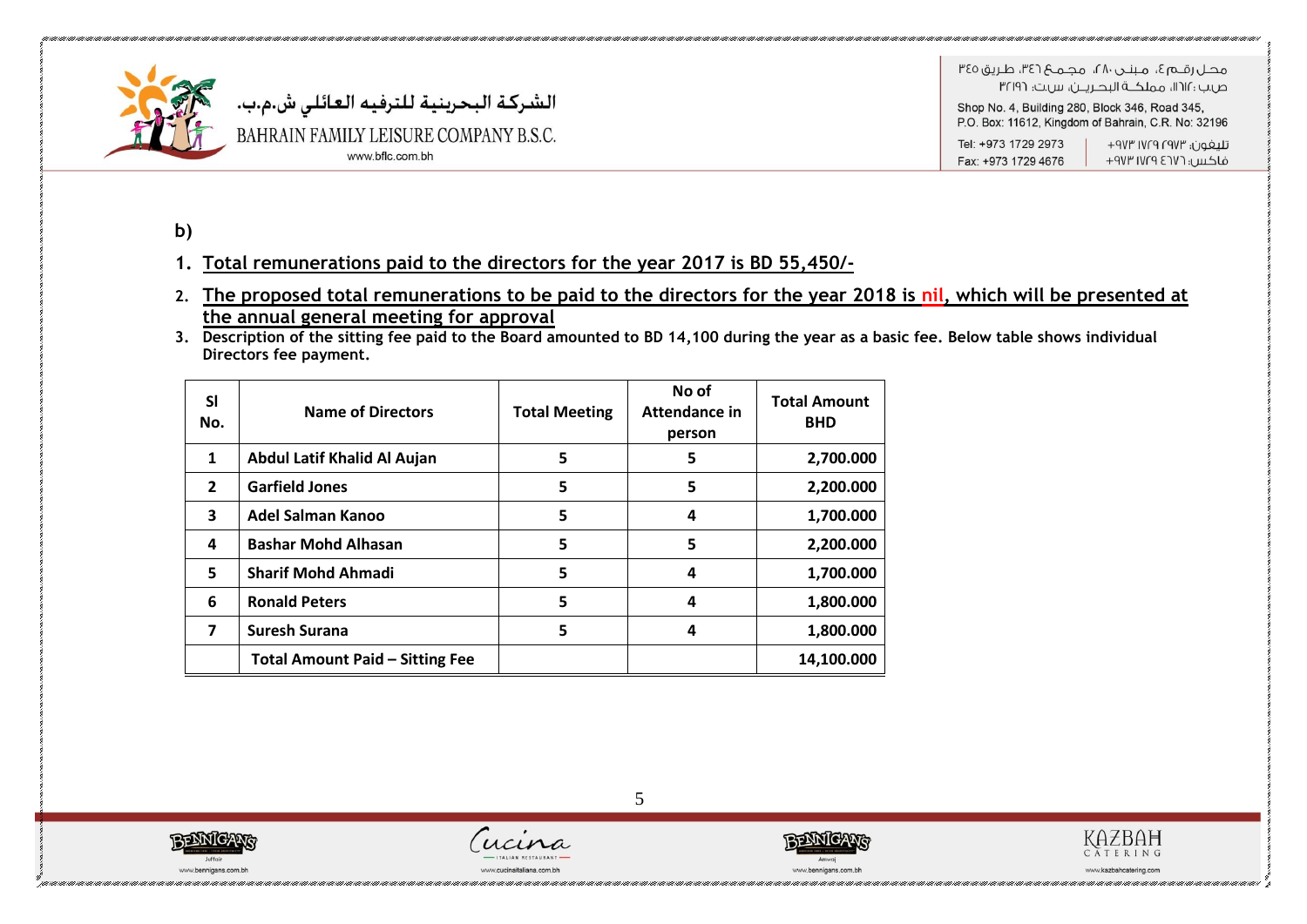

الشركة البحرينية للترفيه العائلي ش.م.ب. BAHRAIN FAMILY LEISURE COMPANY B.S.C. www.bflc.com.bh

هجاراقيه آه الجمهورين ١٨٠، محموم ١٣٤٦، طريق ٣٤٥ ص.ب :١٢١٢، مملكــة البحـريــن، س.ت: ٣٢١٩٦

Shop No. 4, Building 280, Block 346, Road 345, P.O. Box: 11612, Kingdom of Bahrain, C.R. No: 32196

Tel: +973 1729 2973 تليغون؛ ١٧٢٩ ١٧٢٩ ٩٧٣+ فاكس: ١٧٢٩ ١٧٢٩ ٩٧٣ Fax: +973 1729 4676

**b)** 

### **1. Total remunerations paid to the directors for the year 2017 is BD 55,450/-**

- **2. The proposed total remunerations to be paid to the directors for the year 2018 is nil, which will be presented at the annual general meeting for approval**
- **3. Description of the sitting fee paid to the Board amounted to BD 14,100 during the year as a basic fee. Below table shows individual Directors fee payment.**

| <b>SI</b><br>No. | <b>Name of Directors</b>               | <b>Total Meeting</b> | No of<br>Attendance in<br>person | <b>Total Amount</b><br><b>BHD</b> |
|------------------|----------------------------------------|----------------------|----------------------------------|-----------------------------------|
| 1                | Abdul Latif Khalid Al Aujan            | 5                    | 5                                | 2,700.000                         |
| $\overline{2}$   | <b>Garfield Jones</b>                  | 5                    | 5                                | 2,200.000                         |
| 3                | Adel Salman Kanoo                      | 5                    | 4                                | 1,700.000                         |
| 4                | <b>Bashar Mohd Alhasan</b>             | 5                    | 5                                | 2,200.000                         |
| 5                | <b>Sharif Mohd Ahmadi</b>              | 5                    | 4                                | 1,700.000                         |
| 6                | <b>Ronald Peters</b>                   | 5                    | 4                                | 1,800.000                         |
| 7                | <b>Suresh Surana</b>                   | 5                    | 4                                | 1,800.000                         |
|                  | <b>Total Amount Paid - Sitting Fee</b> |                      |                                  | 14,100.000                        |







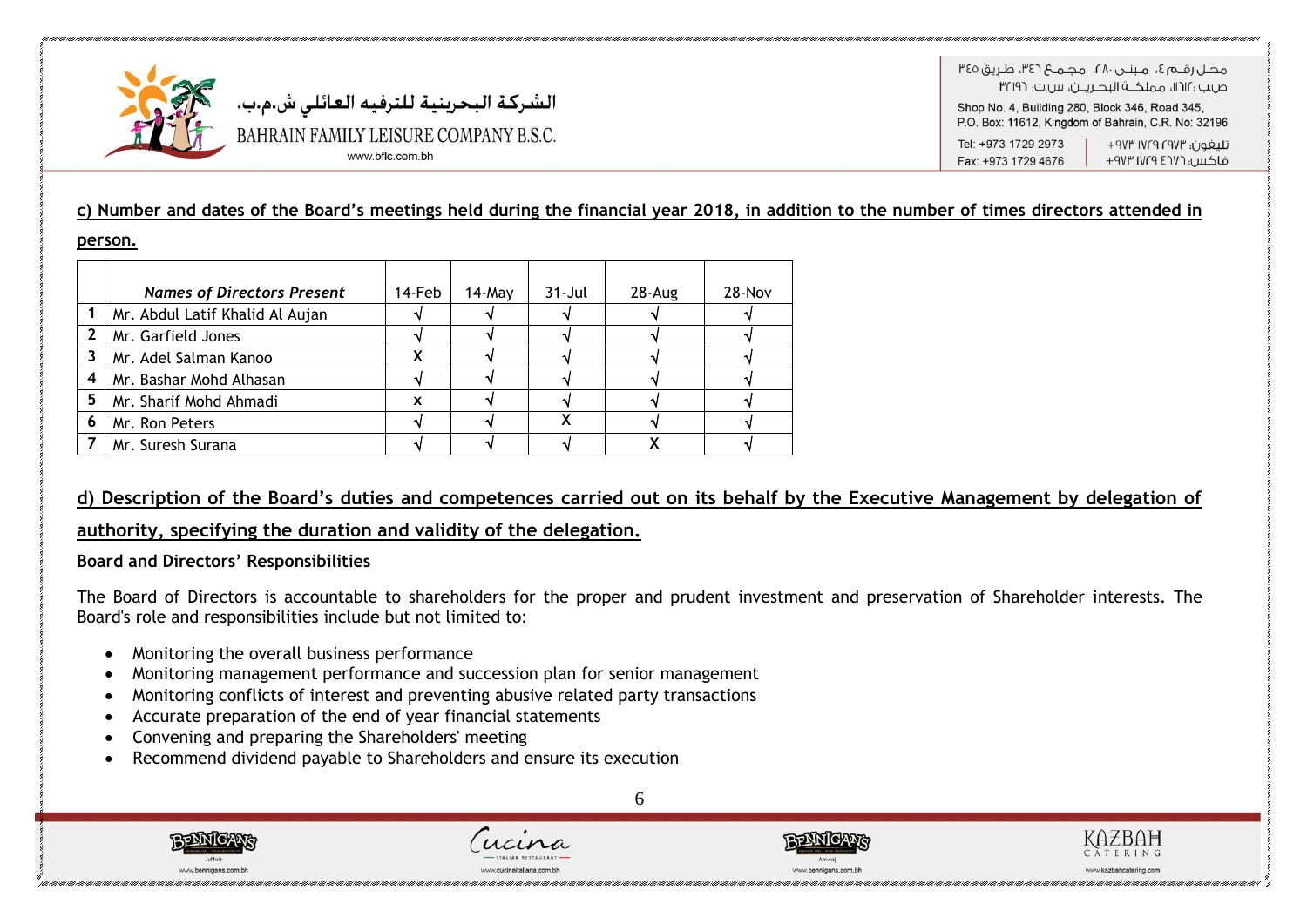

ص بن : ١٢١٢، مملكــة البدريـــر بن س بت: ٣٢١٩٦ Shop No. 4, Building 280, Block 346, Road 345, P.O. Box: 11612, Kingdom of Bahrain, C.R. No: 32196 Tel: +973 1729 2973 تلىفون؛ ١٧٢٣ ١٧٢٩ ٩٧٣

Fax: +973 1729 4676 فاكس: ١٧٢٦ ١٧٢٩ ٩٧٣

### **c) Number and dates of the Board's meetings held during the financial year 2018, in addition to the number of times directors attended in**

#### **person.**

|              | <b>Names of Directors Present</b> | 14-Feb | $14$ -May | $31 -$ Jul | $28 - Aug$ | $28 - Nov$ |
|--------------|-----------------------------------|--------|-----------|------------|------------|------------|
|              | Mr. Abdul Latif Khalid Al Aujan   |        |           |            |            |            |
| $\mathbf{2}$ | Mr. Garfield Jones                |        |           |            |            |            |
| 3            | Mr. Adel Salman Kanoo             |        |           |            |            |            |
| 4            | Mr. Bashar Mohd Alhasan           |        |           |            |            |            |
| 5            | Mr. Sharif Mohd Ahmadi            | X      |           |            |            |            |
| 6            | Mr. Ron Peters                    |        |           |            |            |            |
|              | Mr. Suresh Surana                 |        |           |            |            |            |

### **d) Description of the Board's duties and competences carried out on its behalf by the Executive Management by delegation of**

### **authority, specifying the duration and validity of the delegation.**

### **Board and Directors' Responsibilities**

The Board of Directors is accountable to shareholders for the proper and prudent investment and preservation of Shareholder interests. The Board's role and responsibilities include but not limited to:

- Monitoring the overall business performance
- Monitoring management performance and succession plan for senior management
- Monitoring conflicts of interest and preventing abusive related party transactions
- Accurate preparation of the end of year financial statements
- Convening and preparing the Shareholders' meeting
- Recommend dividend payable to Shareholders and ensure its execution





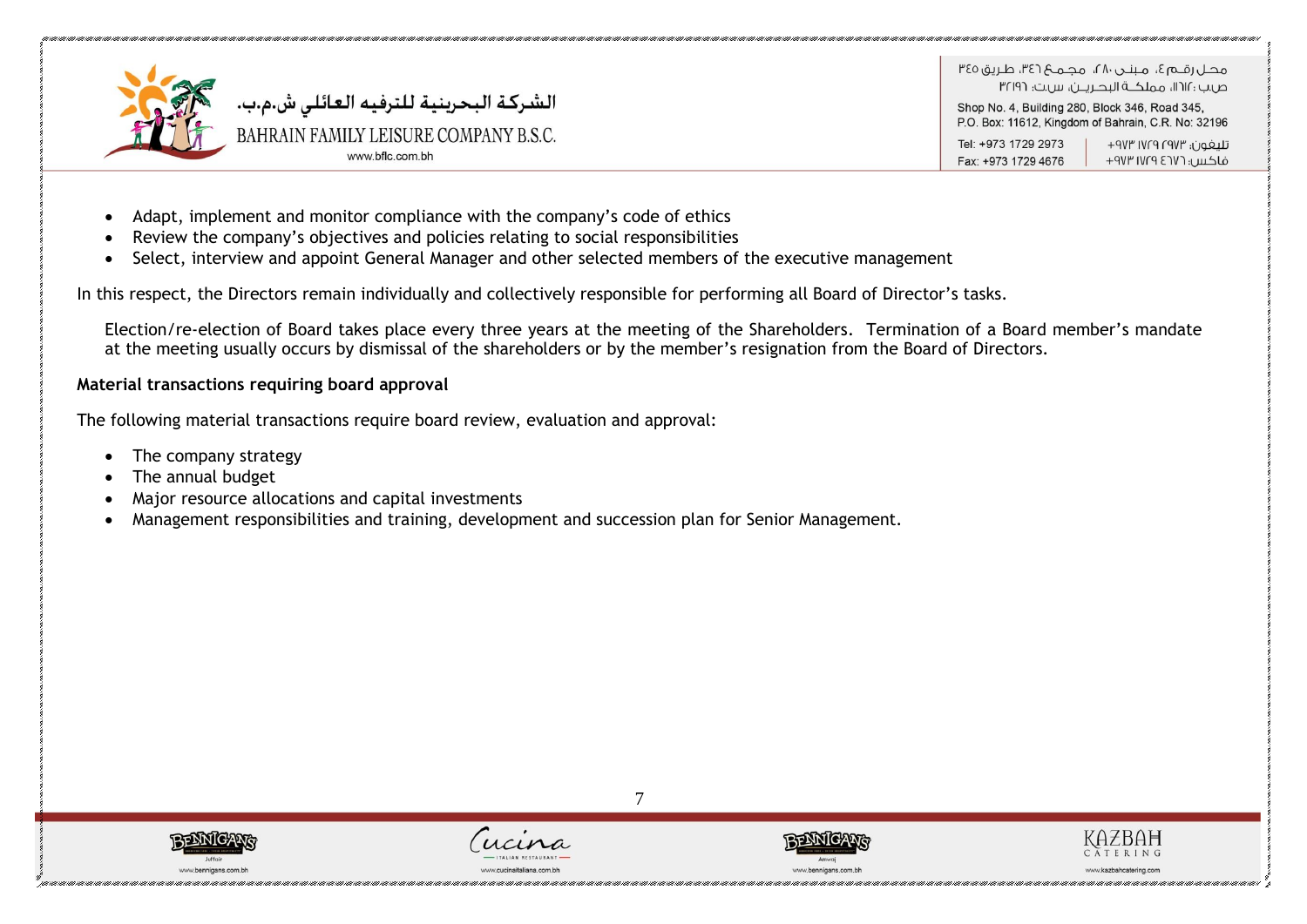

Shop No. 4, Building 280, Block 346, Road 345, P.O. Box: 11612, Kingdom of Bahrain, C.R. No: 32196

Tel: +973 1729 2973 تلىفون؛ ١٧٢٣ ١٧٢٩ ٩٧٣ Fax: +973 1729 4676 فاكس: ١٧٢٦ ١٧٢٩ ٩٧٣

- Adapt, implement and monitor compliance with the company's code of ethics
- Review the company's objectives and policies relating to social responsibilities
- Select, interview and appoint General Manager and other selected members of the executive management

In this respect, the Directors remain individually and collectively responsible for performing all Board of Director's tasks.

Election/re-election of Board takes place every three years at the meeting of the Shareholders. Termination of a Board member's mandate at the meeting usually occurs by dismissal of the shareholders or by the member's resignation from the Board of Directors.

7

### **Material transactions requiring board approval**

The following material transactions require board review, evaluation and approval:

- The company strategy
- The annual budget
- Major resource allocations and capital investments
- Management responsibilities and training, development and succession plan for Senior Management.







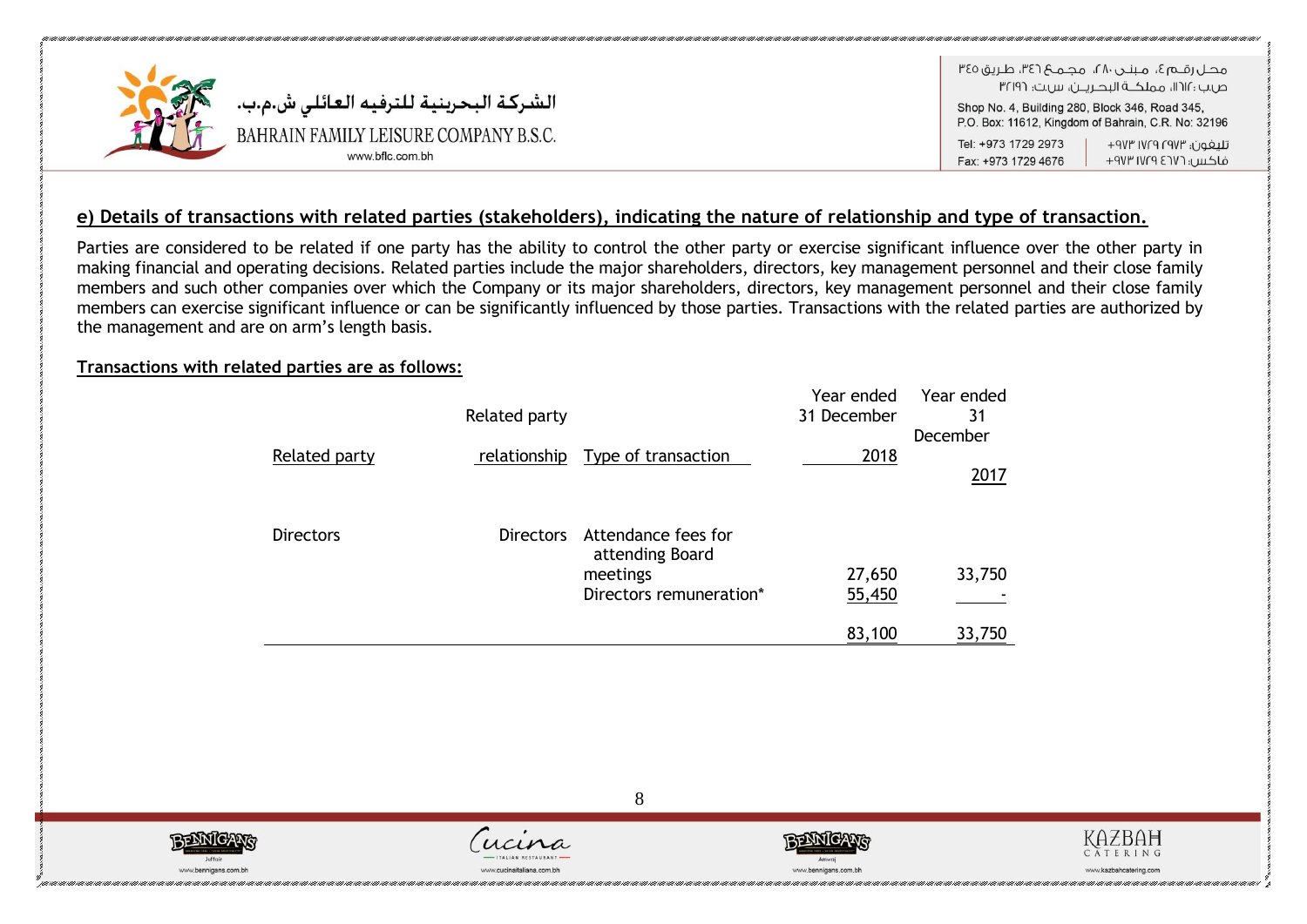

Tel: +973 1729 2973 تلىفون؛ ١٧٢٣ ١٧٢٩ ٩٧٣ فاكس، ١٧٢٦ ١٧٢٩ ٩٧٣ Fax: +973 1729 4676

### **e) Details of transactions with related parties (stakeholders), indicating the nature of relationship and type of transaction.**

Parties are considered to be related if one party has the ability to control the other party or exercise significant influence over the other party in making financial and operating decisions. Related parties include the major shareholders, directors, key management personnel and their close family members and such other companies over which the Company or its major shareholders, directors, key management personnel and their close family members can exercise significant influence or can be significantly influenced by those parties. Transactions with the related parties are authorized by the management and are on arm's length basis.

### **Transactions with related parties are as follows:**

|                  | Related party    |                                                                               | Year ended<br>31 December | Year ended<br>31<br>December |
|------------------|------------------|-------------------------------------------------------------------------------|---------------------------|------------------------------|
| Related party    |                  | relationship Type of transaction                                              | 2018                      | 2017                         |
| <b>Directors</b> | <b>Directors</b> | Attendance fees for<br>attending Board<br>meetings<br>Directors remuneration* | 27,650<br>55,450          | 33,750                       |
|                  |                  |                                                                               | 83,100                    | 33,750                       |







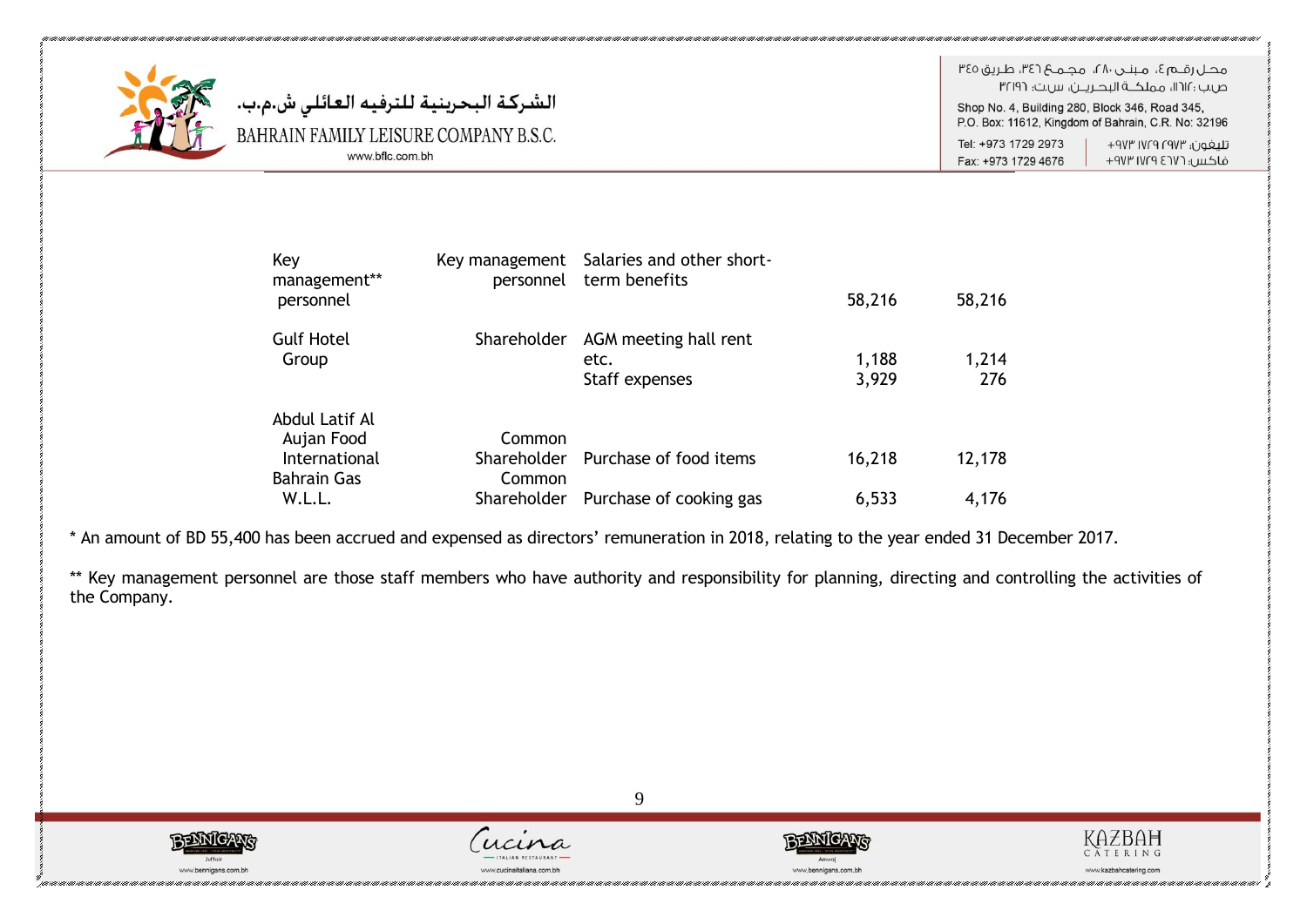

الشركة البحرينية للترفيه العائلي ش.م.ب. BAHRAIN FAMILY LEISURE COMPANY B.S.C. www.bflc.com.bh

هجاراقيها ع، مينجر، ٢٨، مجميع ٣٤٦، طريق ٣٤٥ ص.ب : ١١٢١١، مملكــة البحـريــن، س.ت: ٣٢١٩٦

Shop No. 4, Building 280, Block 346, Road 345, P.O. Box: 11612, Kingdom of Bahrain, C.R. No: 32196

Tel: +973 1729 2973 Fax: +973 1729 4676

تليفون؛ ١٧٢٩ ١٧٢٩ ٩٧٣+ فاكس: ١٧٢٦ ١٧٢٩ ٩٧٣

| Key<br>management** |             | Key management Salaries and other short-<br>personnel term benefits |        |        |
|---------------------|-------------|---------------------------------------------------------------------|--------|--------|
| personnel           |             |                                                                     | 58,216 | 58,216 |
| <b>Gulf Hotel</b>   | Shareholder | AGM meeting hall rent                                               |        |        |
| Group               |             | etc.                                                                | 1,188  | 1,214  |
|                     |             | Staff expenses                                                      | 3,929  | 276    |
| Abdul Latif Al      |             |                                                                     |        |        |
| Aujan Food          | Common      |                                                                     |        |        |
| International       |             | Shareholder Purchase of food items                                  | 16,218 | 12,178 |
| <b>Bahrain Gas</b>  | Common      |                                                                     |        |        |
| W.L.L.              | Shareholder | Purchase of cooking gas                                             | 6,533  | 4,176  |

\* An amount of BD 55,400 has been accrued and expensed as directors' remuneration in 2018, relating to the year ended 31 December 2017.

\*\* Key management personnel are those staff members who have authority and responsibility for planning, directing and controlling the activities of the Company.







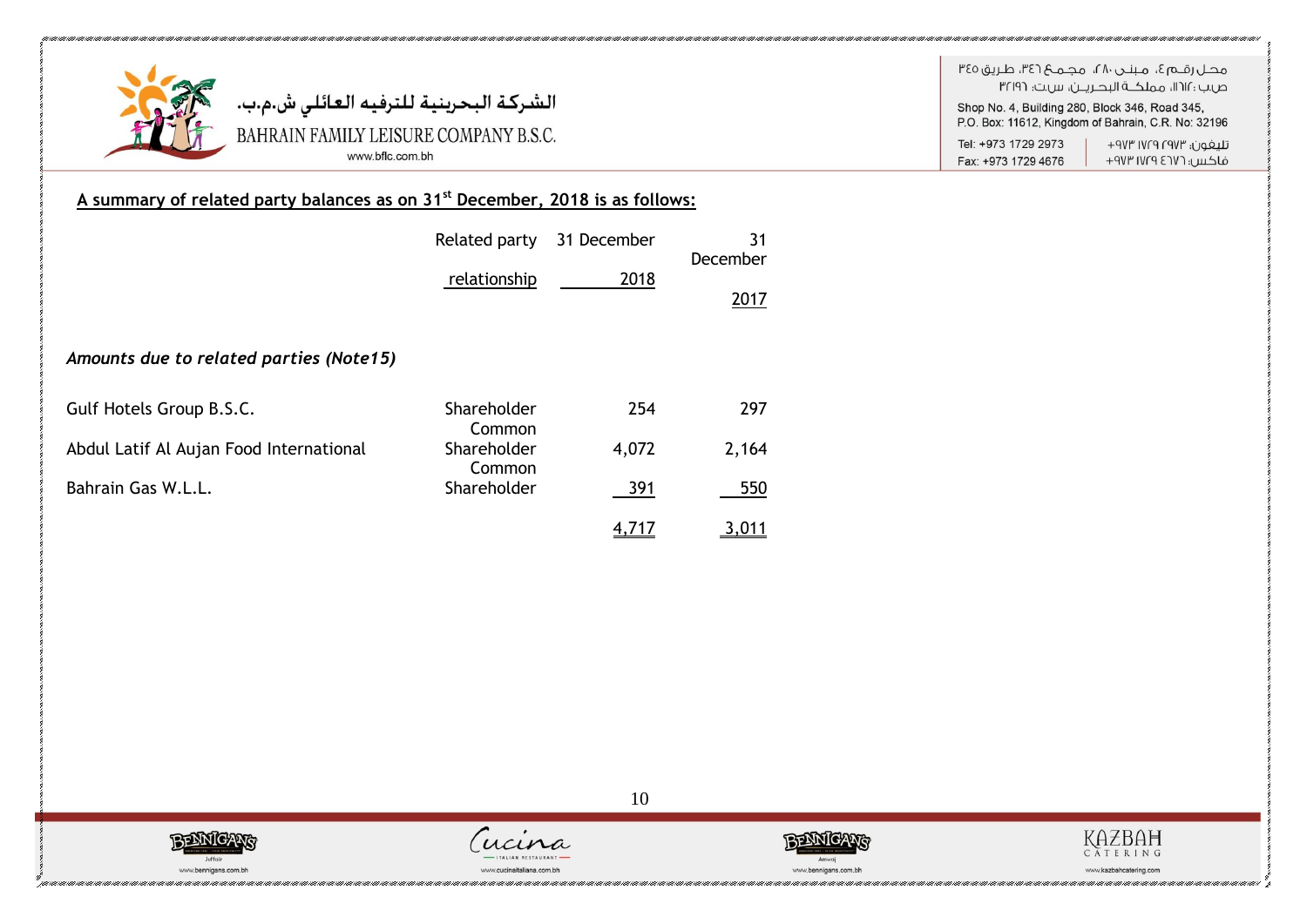

الشركــة البحرينيــة لـلترفيــه الـعـائلـي ش.م.ب.<br>.BAHRAIN FAMILY LEISURE COMPANY B.S.C www.bflc.com.bh

Fax: +973 1729 4676

## فاكس: ١٧٢٦ ١٧٢٩ ٩٧٣

### A summary of related party balances as on 31<sup>st</sup> December, 2018 is as follows:

|                                         | Related party         | 31 December | 31<br>December |
|-----------------------------------------|-----------------------|-------------|----------------|
|                                         | relationship          | 2018        | 2017           |
| Amounts due to related parties (Note15) |                       |             |                |
| Gulf Hotels Group B.S.C.                | Shareholder<br>Common | 254         | 297            |
| Abdul Latif Al Aujan Food International | Shareholder<br>Common | 4,072       | 2,164          |
| Bahrain Gas W.L.L.                      | Shareholder           | 391         | 550            |
|                                         |                       | 4,717       | 3,011          |







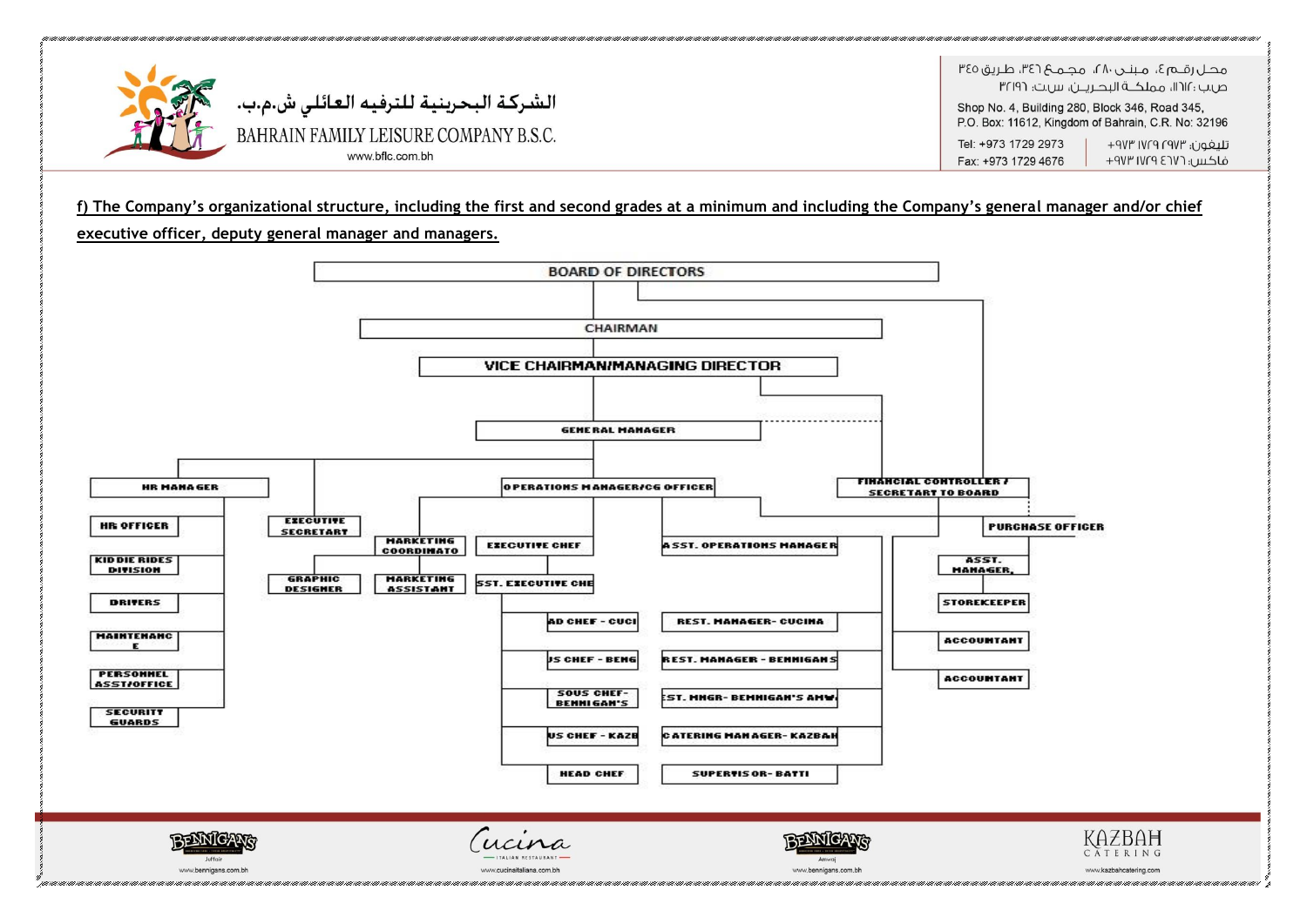

Fax: +973 1729 4676 فاكس؛ ١٧٢٦ ١٧٢٩ ٩٧٣

#### **f) The Company's organizational structure, including the first and second grades at a minimum and including the Company's general manager and/or chief**

**executive officer, deputy general manager and managers.**

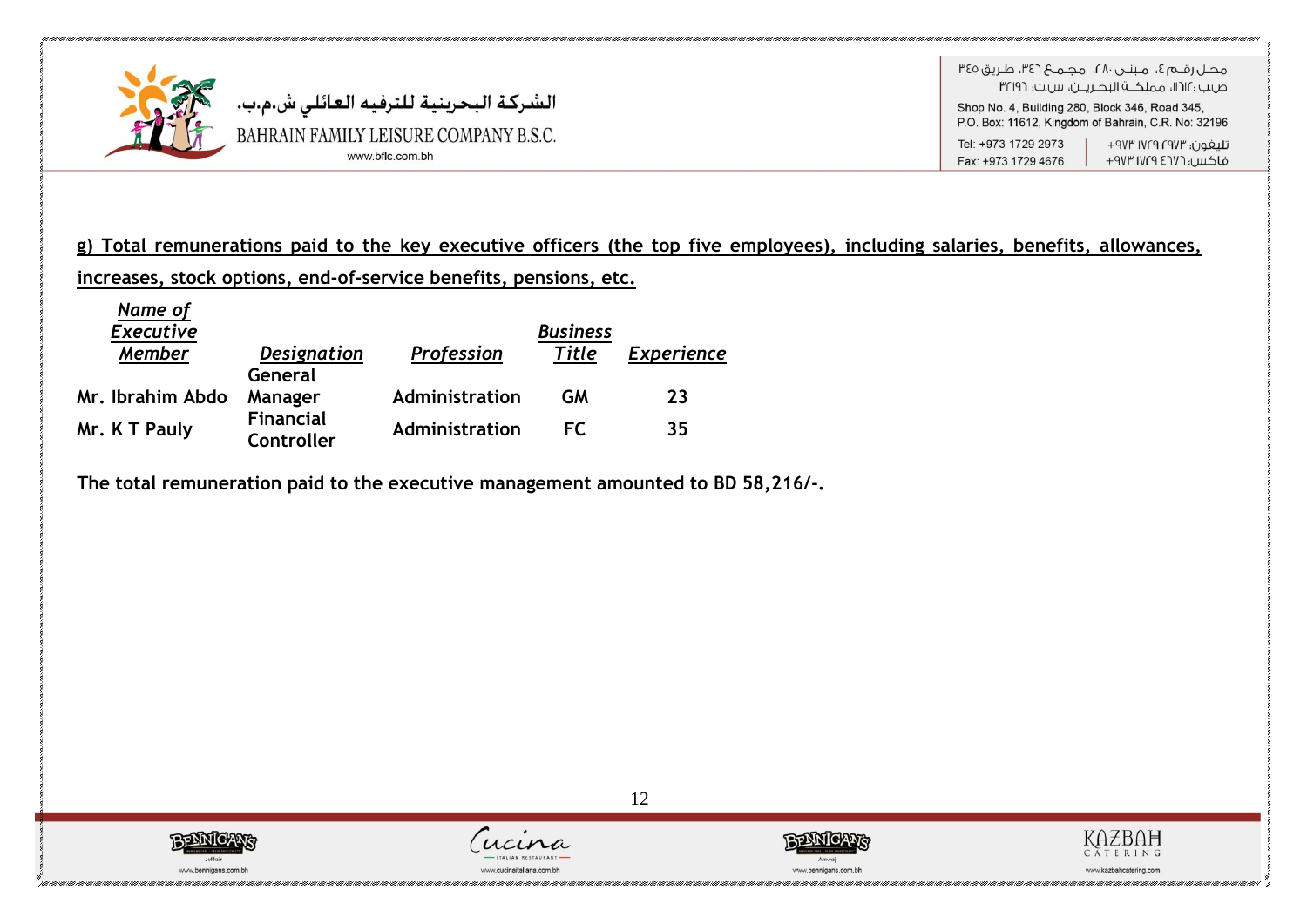

**g) Total remunerations paid to the key executive officers (the top five employees), including salaries, benefits, allowances, increases, stock options, end-of-service benefits, pensions, etc.**

12

| Name of<br><b>Executive</b> |                                |                | <b>Business</b> |                   |
|-----------------------------|--------------------------------|----------------|-----------------|-------------------|
| <b>Member</b>               | <b>Designation</b>             | Profession     | <b>Title</b>    | <b>Experience</b> |
| Mr. Ibrahim Abdo            | General<br>Manager             | Administration | GМ              | 23                |
| Mr. K T Pauly               | <b>Financial</b><br>Controller | Administration | FC.             | 35                |

**The total remuneration paid to the executive management amounted to BD 58,216/-.** 







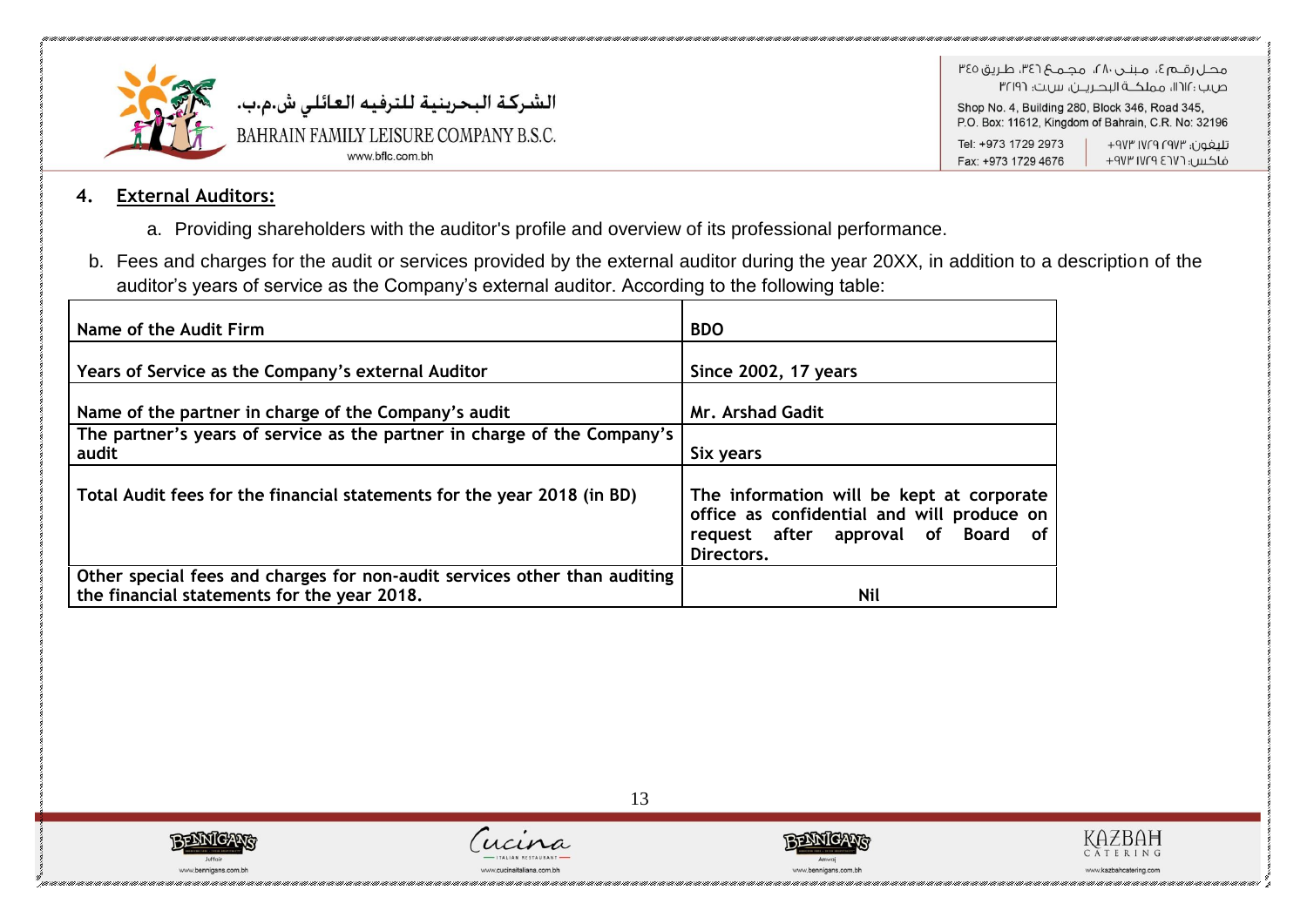

Shop No. 4, Building 280, Block 346, Road 345, P.O. Box: 11612, Kingdom of Bahrain, C.R. No: 32196

Tel: +973 1729 2973 تليفون؛ ١٧٢٩ ١٧٢٩ ٩٧٣+ فاكس: ١٧٢٩ ١٧٢٩ ٩٧٣ Fax: +973 1729 4676

### **4. External Auditors:**

- a. Providing shareholders with the auditor's profile and overview of its professional performance.
- b. Fees and charges for the audit or services provided by the external auditor during the year 20XX, in addition to a description of the auditor's years of service as the Company's external auditor. According to the following table:

| Name of the Audit Firm                                                                                                   | <b>BDO</b>                                                                                                                                  |
|--------------------------------------------------------------------------------------------------------------------------|---------------------------------------------------------------------------------------------------------------------------------------------|
| Years of Service as the Company's external Auditor                                                                       | <b>Since 2002, 17 years</b>                                                                                                                 |
| Name of the partner in charge of the Company's audit                                                                     | <b>Mr. Arshad Gadit</b>                                                                                                                     |
| The partner's years of service as the partner in charge of the Company's<br>audit                                        | Six years                                                                                                                                   |
| Total Audit fees for the financial statements for the year 2018 (in BD)                                                  | The information will be kept at corporate<br>office as confidential and will produce on<br>request after approval of Board of<br>Directors. |
| Other special fees and charges for non-audit services other than auditing<br>the financial statements for the year 2018. | <b>Nil</b>                                                                                                                                  |







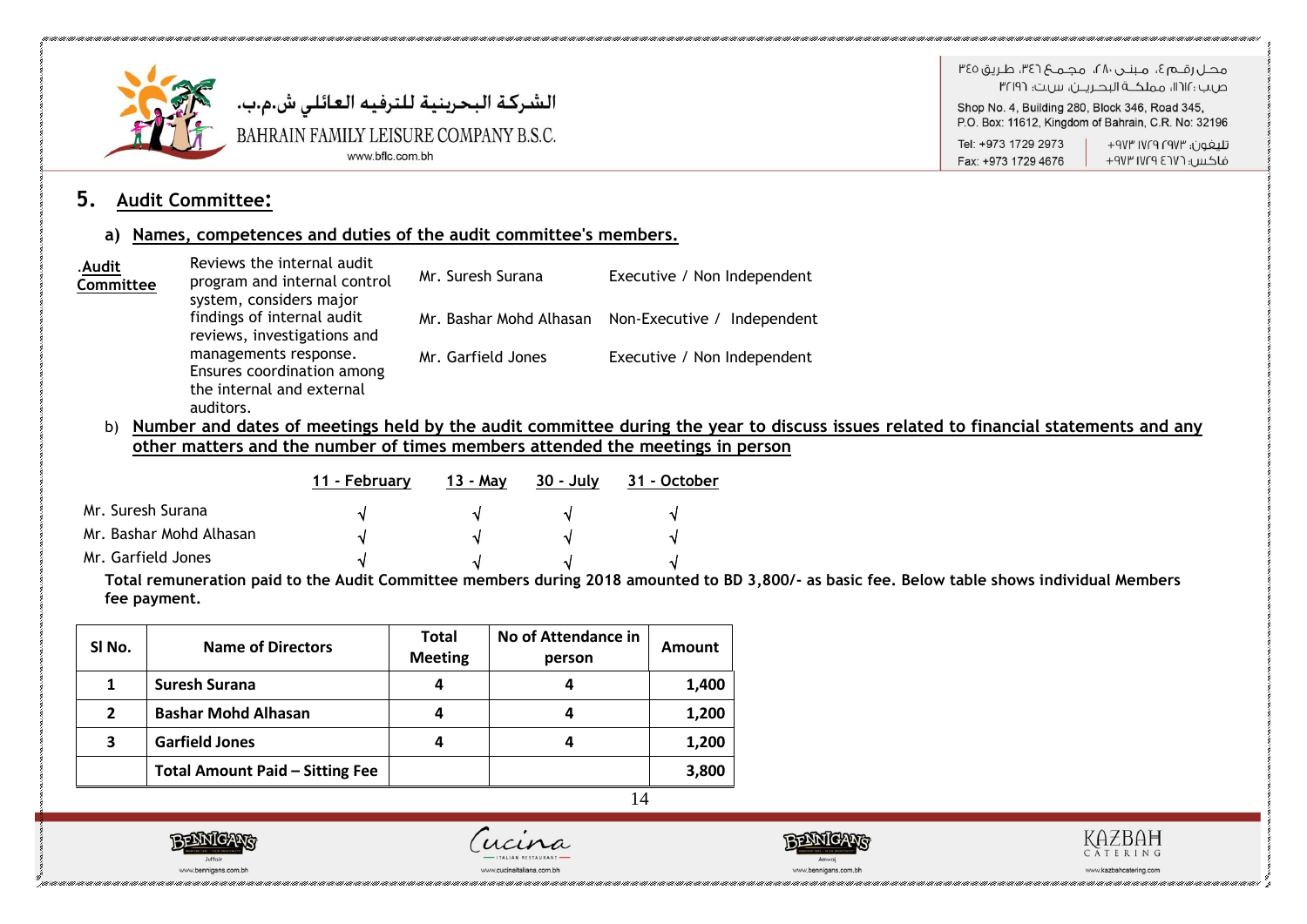

هجاراقيها آه برينين ۱۸۰، محلوب ۱۳۶۲، طريق ۳٤٥ ص.ب : ١٢١٢، مملكــة البحـريــن، س.ت: ٣٢١٩٦

Shop No. 4, Building 280, Block 346, Road 345, P.O. Box: 11612, Kingdom of Bahrain, C.R. No: 32196

Tel: +973 1729 2973 Fax: +973 1729 4676

تليغون؛ ١٧٢٩ ١٧٢٩ ٩٧٣+ فاكس: ١٧٢٩ ١٧٢٩ ٩٧٣

### **5. Audit Committee:**

### **a) Names, competences and duties of the audit committee's members.**

| .Audit<br>Committee | Reviews the internal audit<br>program and internal control<br>system, considers major         | Mr. Suresh Surana  | Executive / Non Independent                         |
|---------------------|-----------------------------------------------------------------------------------------------|--------------------|-----------------------------------------------------|
|                     | findings of internal audit<br>reviews, investigations and                                     |                    | Mr. Bashar Mohd Alhasan Non-Executive / Independent |
|                     | managements response.<br>Ensures coordination among<br>the internal and external<br>auditors. | Mr. Garfield Jones | Executive / Non Independent                         |

b) **Number and dates of meetings held by the audit committee during the year to discuss issues related to financial statements and any other matters and the number of times members attended the meetings in person**

|                         | 11 - Februarv | 13 - Mav | - 30 - Julv | 31 - October |
|-------------------------|---------------|----------|-------------|--------------|
| Mr. Suresh Surana       | N             |          |             | N            |
| Mr. Bashar Mohd Alhasan | N             |          |             | N            |
| Mr. Garfield Jones      | N             |          |             |              |

**Total remuneration paid to the Audit Committee members during 2018 amounted to BD 3,800/- as basic fee. Below table shows individual Members fee payment.**

| SI No.         | <b>Name of Directors</b>               | <b>Total</b><br><b>Meeting</b> | No of Attendance in<br>person | Amount |
|----------------|----------------------------------------|--------------------------------|-------------------------------|--------|
|                | <b>Suresh Surana</b>                   |                                |                               | 1,400  |
| $\overline{2}$ | <b>Bashar Mohd Alhasan</b>             |                                | 4                             | 1,200  |
| 3              | <b>Garfield Jones</b>                  |                                |                               | 1,200  |
|                | <b>Total Amount Paid - Sitting Fee</b> |                                |                               | 3,800  |





 $ucin$ 



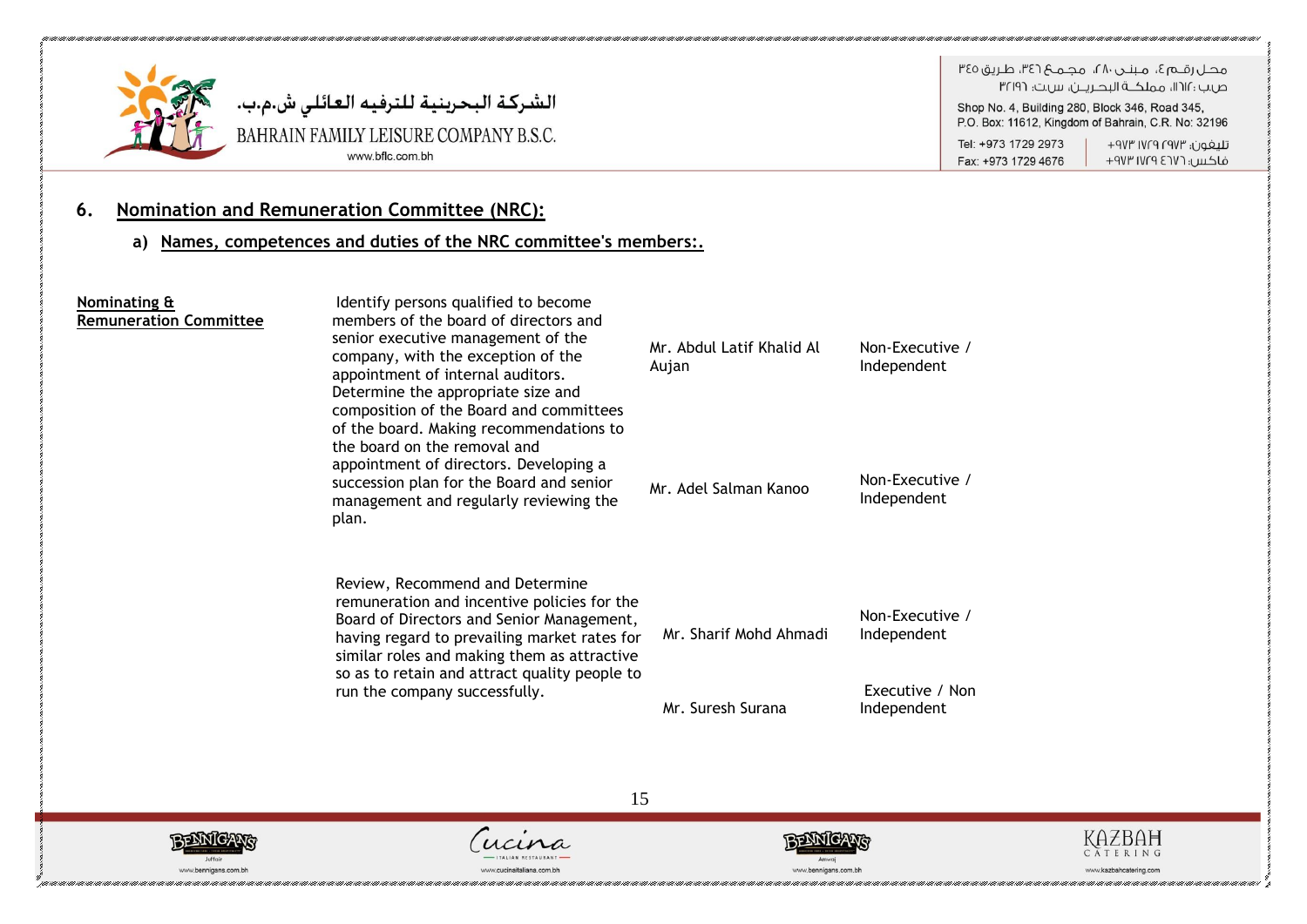

# الشركــة البحرينيــة لـلترفيــه الـعـائلـي ش.م.ب.<br>BAHRAIN FAMILY LEISURE COMPANY B.S.C. www.bflc.com.bh

هجل رقبه ؟، منتدر ٢٨، محميم ٣٤٦، طريق ٣٤٥ ص.ب : ١١٢١١، مملكــة البحـريــن، س.ت: ٣٢١٩٦

Shop No. 4, Building 280, Block 346, Road 345, P.O. Box: 11612, Kingdom of Bahrain, C.R. No: 32196

Tel: +973 1729 2973 Fax: +973 1729 4676

تليفون؛ ١٧٢٩ ١٧٢٩ ٩٧٣+ فاكس: ١٧٢٦ ١٧٢٩ ٩٧٣

### **6. Nomination and Remuneration Committee (NRC):**

**a) Names, competences and duties of the NRC committee's members:.**

| Nominating &<br><b>Remuneration Committee</b> | Identify persons qualified to become<br>members of the board of directors and<br>senior executive management of the<br>company, with the exception of the<br>appointment of internal auditors.<br>Determine the appropriate size and<br>composition of the Board and committees<br>of the board. Making recommendations to | Mr. Abdul Latif Khalid Al<br>Aujan | Non-Executive /<br>Independent |
|-----------------------------------------------|----------------------------------------------------------------------------------------------------------------------------------------------------------------------------------------------------------------------------------------------------------------------------------------------------------------------------|------------------------------------|--------------------------------|
|                                               | the board on the removal and<br>appointment of directors. Developing a<br>succession plan for the Board and senior<br>management and regularly reviewing the<br>plan.                                                                                                                                                      | Mr. Adel Salman Kanoo              | Non-Executive /<br>Independent |
|                                               | Review, Recommend and Determine<br>remuneration and incentive policies for the<br>Board of Directors and Senior Management,<br>having regard to prevailing market rates for<br>similar roles and making them as attractive<br>so as to retain and attract quality people to                                                | Mr. Sharif Mohd Ahmadi             | Non-Executive /<br>Independent |
|                                               | run the company successfully.                                                                                                                                                                                                                                                                                              | Mr. Suresh Surana                  | Executive / Non<br>Independent |







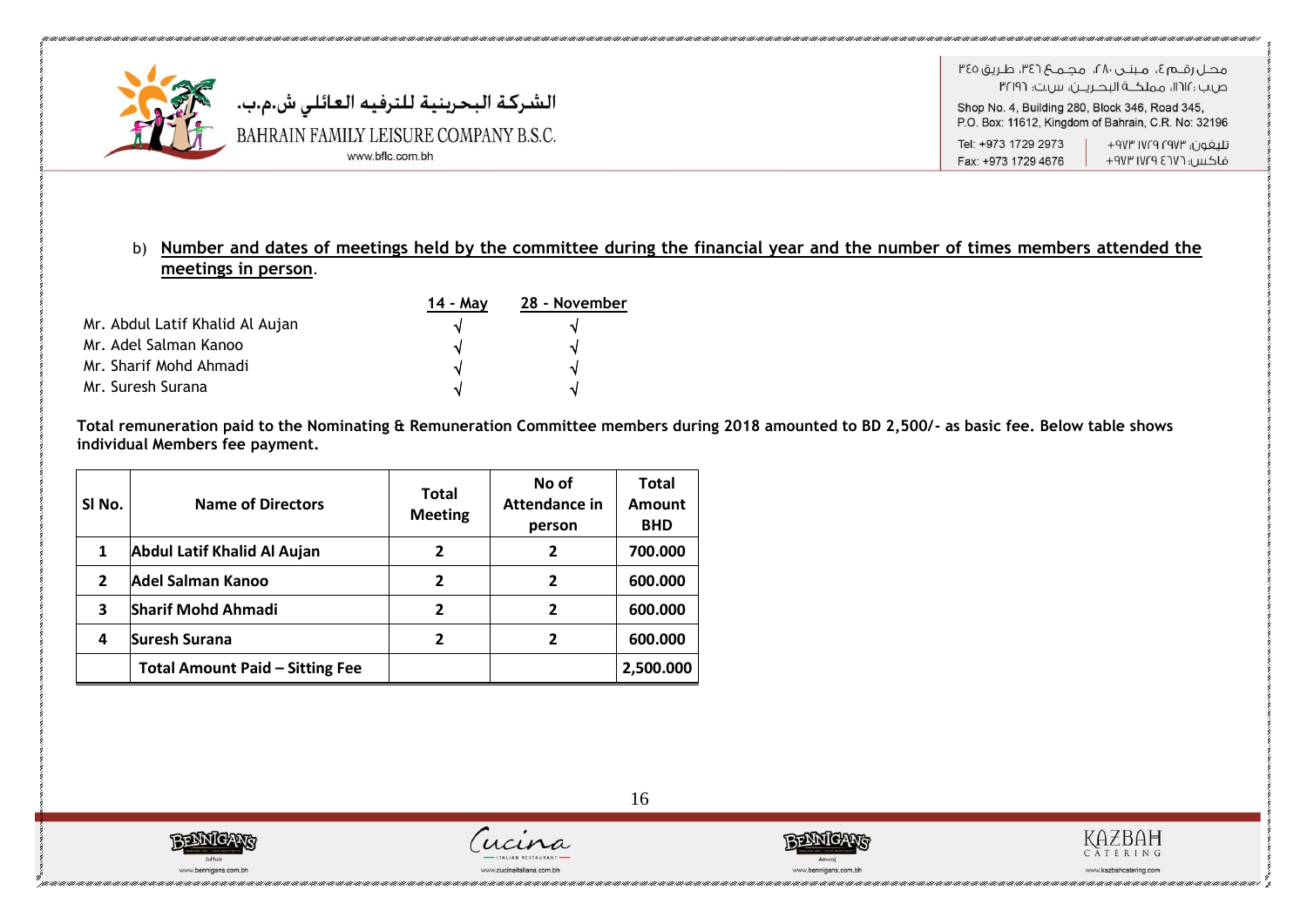

فاكس: ١٧٢٦ ١٧٢٩ ٩٧٣ Fax: +973 1729 4676

### b) **Number and dates of meetings held by the committee during the financial year and the number of times members attended the meetings in person**.

|                                 | 14 - Mav | 28 - November |
|---------------------------------|----------|---------------|
| Mr. Abdul Latif Khalid Al Aujan |          |               |
| Mr. Adel Salman Kanoo           |          |               |
| Mr. Sharif Mohd Ahmadi          | N        |               |
| Mr. Suresh Surana               | ٦I       |               |

**Total remuneration paid to the Nominating & Remuneration Committee members during 2018 amounted to BD 2,500/- as basic fee. Below table shows individual Members fee payment.**

| SI No. | <b>Name of Directors</b>               | <b>Total</b><br><b>Meeting</b> | No of<br>Attendance in<br>person | <b>Total</b><br>Amount<br><b>BHD</b> |
|--------|----------------------------------------|--------------------------------|----------------------------------|--------------------------------------|
| 1      | <b>Abdul Latif Khalid Al Aujan</b>     | 2                              | $\overline{2}$                   | 700.000                              |
| 2      | <b>Adel Salman Kanoo</b>               | 2                              | $\overline{\mathbf{z}}$          | 600.000                              |
| 3      | <b>Sharif Mohd Ahmadi</b>              | 2                              | $\overline{\mathbf{z}}$          | 600.000                              |
| 4      | <b>Suresh Surana</b>                   | 2                              | $\overline{\mathbf{z}}$          | 600.000                              |
|        | <b>Total Amount Paid - Sitting Fee</b> |                                |                                  | 2,500.000                            |





 $ucin$ 



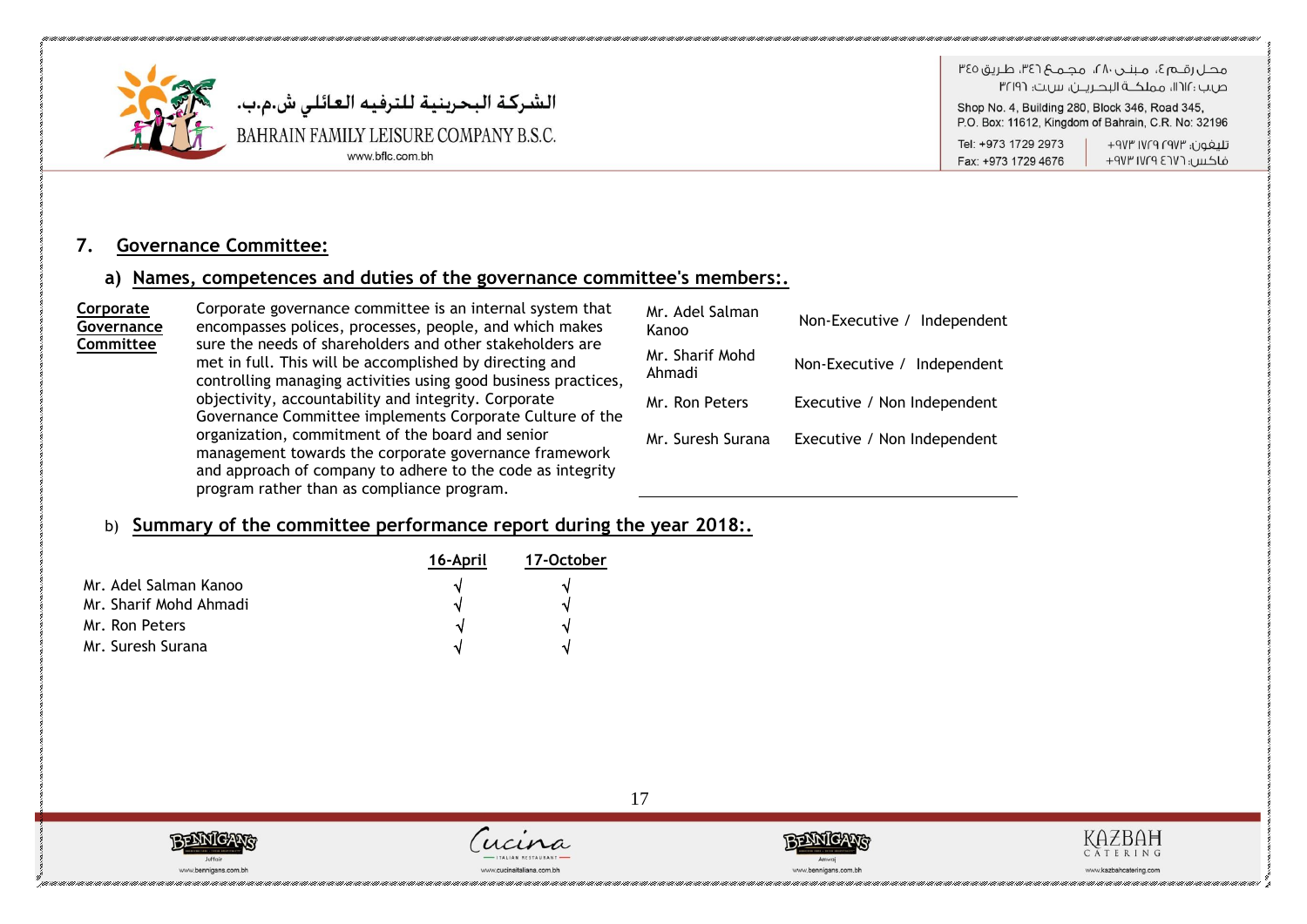

هجاراقيها ع، مينجر، ٢٨، مجميع ٣٤٦، طريق ٣٤٥ ص.ب : ١١٢١١، مملكــة البحـريــن، س.ت: ٣٢١٩٦

Shop No. 4, Building 280, Block 346, Road 345, P.O. Box: 11612, Kingdom of Bahrain, C.R. No: 32196

Tel: +973 1729 2973 Fax: +973 1729 4676

تليفون؛ ١٧٢٩ ١٧٢٩ ٩٧٣+ فاكس: ١٧٢٩ ١٧٢٩ ٩٧٣

### **7. Governance Committee:**

### **a) Names, competences and duties of the governance committee's members:.**

| Corporate<br>Governance | Corporate governance committee is an internal system that<br>encompasses polices, processes, people, and which makes                                                                                                  | Mr. Adel Salman<br>Kanoo  | Independent<br>Non-Executive / |
|-------------------------|-----------------------------------------------------------------------------------------------------------------------------------------------------------------------------------------------------------------------|---------------------------|--------------------------------|
| Committee               | sure the needs of shareholders and other stakeholders are<br>met in full. This will be accomplished by directing and<br>controlling managing activities using good business practices,                                | Mr. Sharif Mohd<br>Ahmadi | Non-Executive / Independent    |
|                         | objectivity, accountability and integrity. Corporate<br>Governance Committee implements Corporate Culture of the                                                                                                      | Mr. Ron Peters            | Executive / Non Independent    |
|                         | organization, commitment of the board and senior<br>management towards the corporate governance framework<br>and approach of company to adhere to the code as integrity<br>program rather than as compliance program. | Mr. Suresh Surana         | Executive / Non Independent    |

### b) **Summary of the committee performance report during the year 2018:.**

|                        | 16-April | 17-October |
|------------------------|----------|------------|
| Mr. Adel Salman Kanoo  |          |            |
| Mr. Sharif Mohd Ahmadi |          | N          |
| Mr. Ron Peters         |          |            |
| Mr. Suresh Surana      |          | N          |









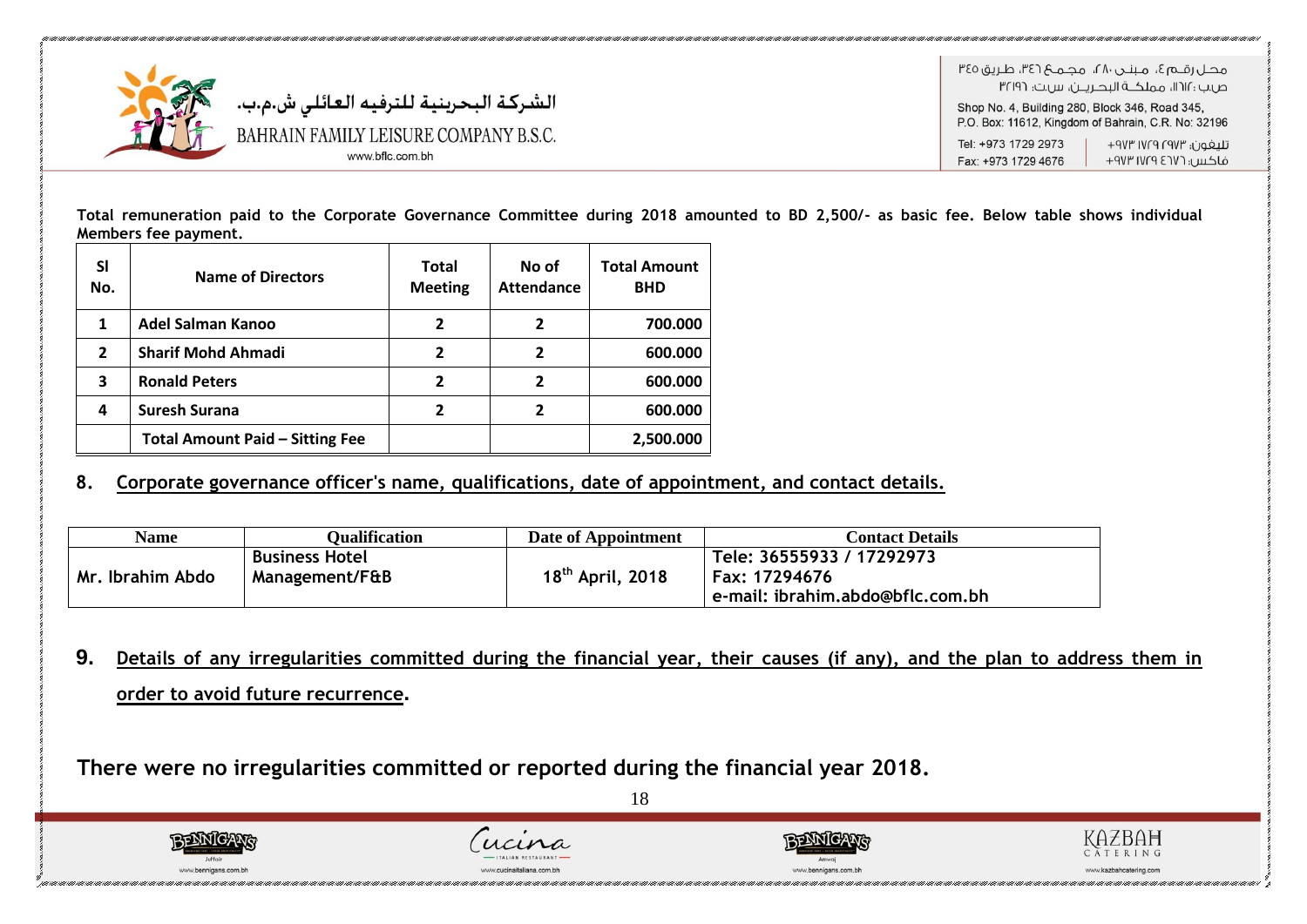

**Total remuneration paid to the Corporate Governance Committee during 2018 amounted to BD 2,500/- as basic fee. Below table shows individual Members fee payment.**

| SI<br>No.      | <b>Name of Directors</b>               | <b>Total</b><br><b>Meeting</b> | No of<br><b>Attendance</b> | <b>Total Amount</b><br><b>BHD</b> |
|----------------|----------------------------------------|--------------------------------|----------------------------|-----------------------------------|
| 1              | Adel Salman Kanoo                      | 2                              | 2                          | 700.000                           |
| $\overline{2}$ | <b>Sharif Mohd Ahmadi</b>              | $\overline{2}$                 | $\mathbf{2}$               | 600.000                           |
| 3              | <b>Ronald Peters</b>                   | 2                              | 2                          | 600.000                           |
| 4              | <b>Suresh Surana</b>                   | 2                              | 2                          | 600.000                           |
|                | <b>Total Amount Paid - Sitting Fee</b> |                                |                            | 2,500.000                         |

### **8. Corporate governance officer's name, qualifications, date of appointment, and contact details.**

| Name             | Oualification                           | Date of Appointment          | <b>Contact Details</b>                                                         |
|------------------|-----------------------------------------|------------------------------|--------------------------------------------------------------------------------|
| Mr. Ibrahim Abdo | <b>Business Hotel</b><br>Management/F&B | 18 <sup>th</sup> April, 2018 | Tele: 36555933 / 17292973<br>Fax: 17294676<br>e-mail: ibrahim.abdo@bflc.com.bh |

**9. Details of any irregularities committed during the financial year, their causes (if any), and the plan to address them in order to avoid future recurrence.**

**There were no irregularities committed or reported during the financial year 2018.** 





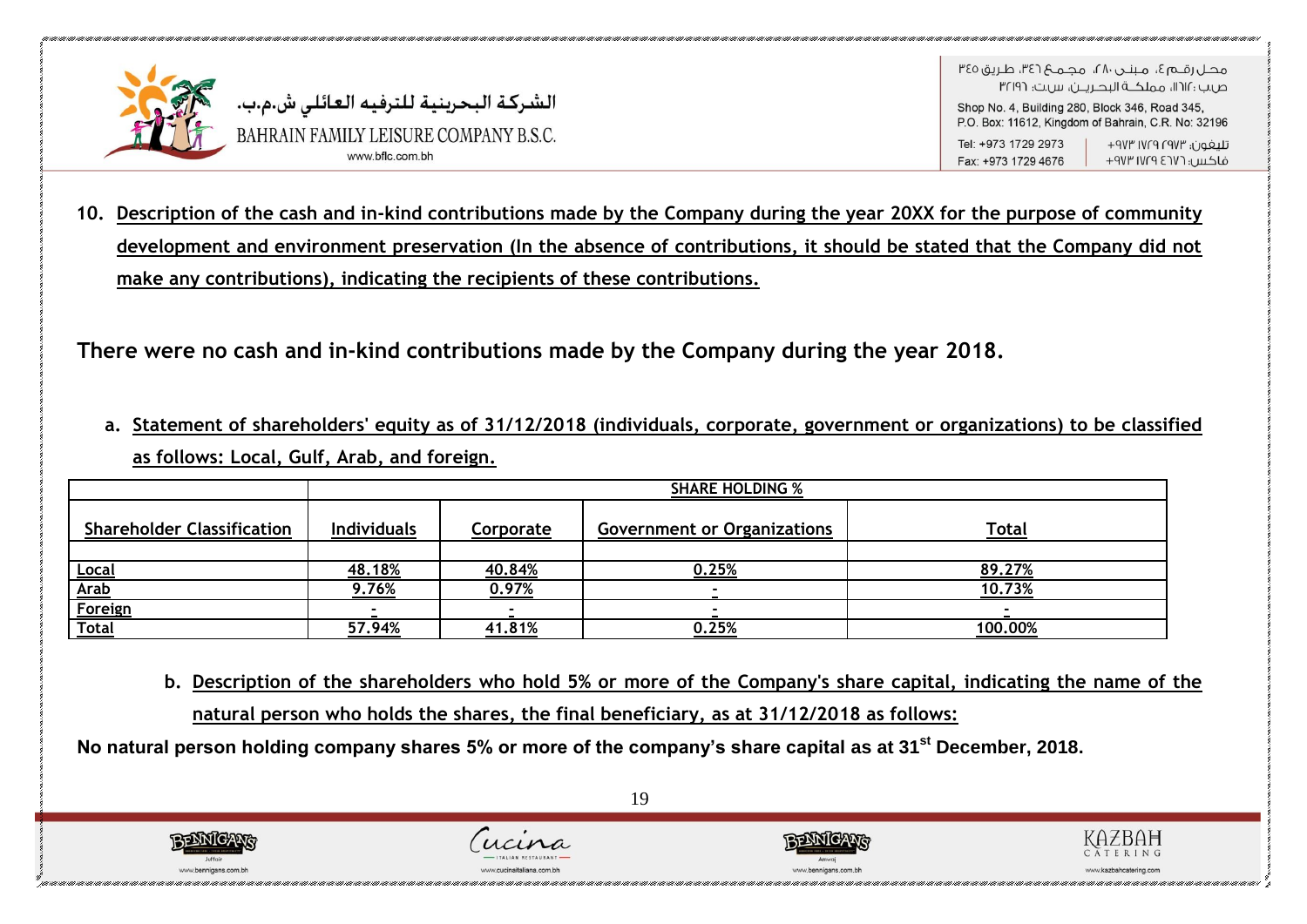

الشركة البحرينية للترفيه العائلي ش.م.ب. BAHRAIN FAMILY LEISURE COMPANY B.S.C. www bflc.com b

ص.ب : ١١٢١، مملكــة البحــريـــن، س.ت: ٣٢١٩٦ Shop No. 4, Building 280, Block 346, Road 345, P.O. Box: 11612. Kingdom of Bahrain, C.R. No: 32196 Tel: +973 1729 2973 تلىغون؛ ١٧٢٣ ١٧٢٩ ٩٧٣ Fax: +973 1729 4676 فاكس: ١٧٢٦ ١٧٢٩ ٩٧٣

**10. Description of the cash and in-kind contributions made by the Company during the year 20XX for the purpose of community development and environment preservation (In the absence of contributions, it should be stated that the Company did not make any contributions), indicating the recipients of these contributions.**

**There were no cash and in-kind contributions made by the Company during the year 2018.**

**a. Statement of shareholders' equity as of 31/12/2018 (individuals, corporate, government or organizations) to be classified as follows: Local, Gulf, Arab, and foreign.**

|                                   | <b>SHARE HOLDING %</b> |                  |                                    |              |  |  |  |
|-----------------------------------|------------------------|------------------|------------------------------------|--------------|--|--|--|
| <b>Shareholder Classification</b> | <b>Individuals</b>     | <u>Corporate</u> | <b>Government or Organizations</b> | <b>Total</b> |  |  |  |
|                                   |                        |                  |                                    |              |  |  |  |
|                                   | 48.18%                 | 40.84%           | 0.25%                              | 89.27%       |  |  |  |
| <u>Local</u><br><u>Arab</u>       | 9.76%                  | 0.97%            |                                    | 10.73%       |  |  |  |
| Foreign                           |                        |                  |                                    |              |  |  |  |
| <b>Total</b>                      | 57.94%                 | 41.81%           | 0.25%                              | 100.00%      |  |  |  |

**b. Description of the shareholders who hold 5% or more of the Company's share capital, indicating the name of the natural person who holds the shares, the final beneficiary, as at 31/12/2018 as follows:**

**No natural person holding company shares 5% or more of the company's share capital as at 31st December, 2018.**

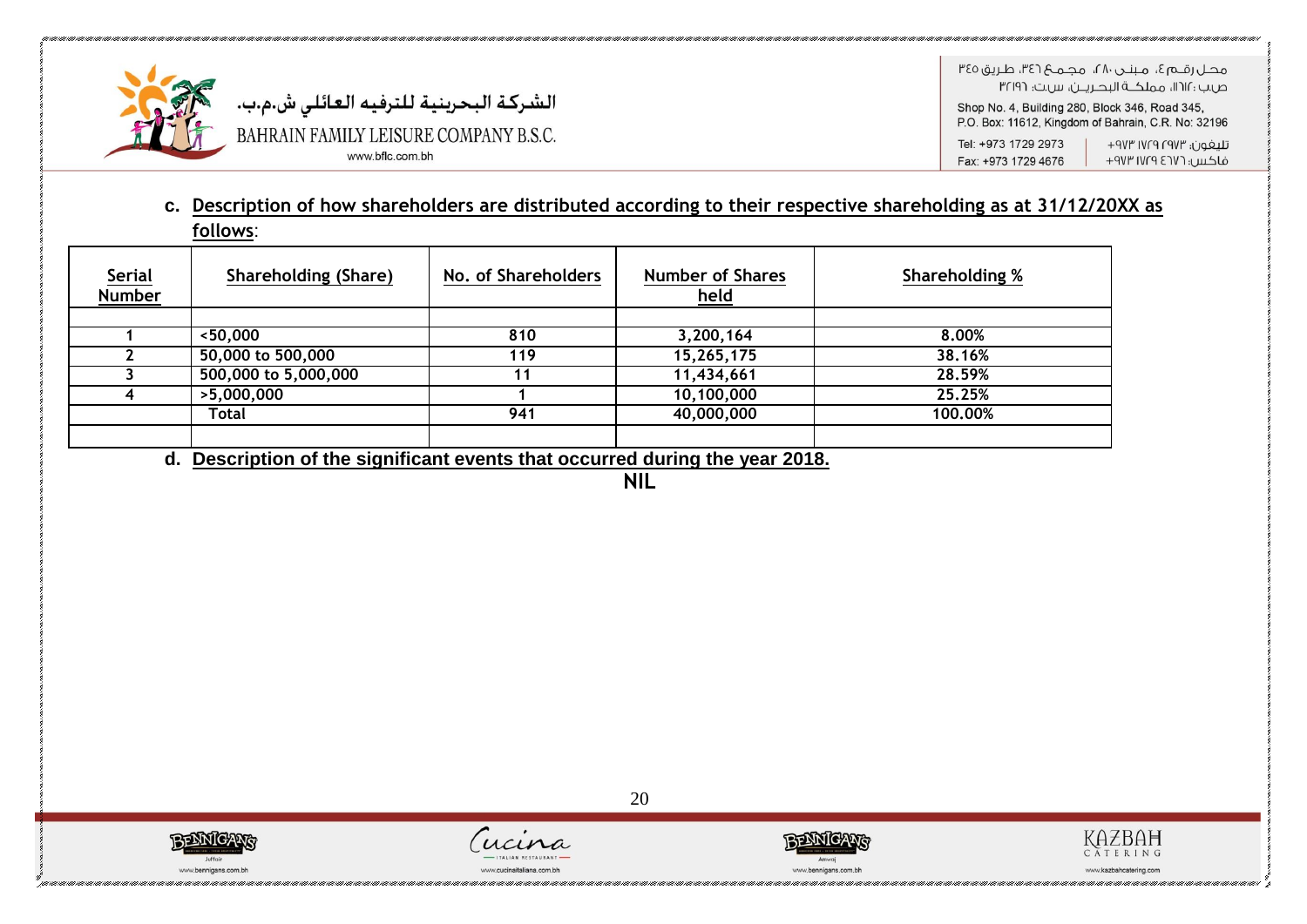

الشركة البحرينية للترفيه العائلي ش.م.ب. BAHRAIN FAMILY LEISURE COMPANY B.S.C. www.bflc.com.bh

هجاراقيها ع، مينجر، ٢٨، مجميع ٣٤٦، طريق ٣٤٥ ص.ب : ١١٢١١، مملكــة البحـريــن، س.ت: ٣٢١٩٦

Shop No. 4, Building 280, Block 346, Road 345, P.O. Box: 11612, Kingdom of Bahrain, C.R. No: 32196

تليفون؛ ١٧٢٩ ١٧٢٩ ٩٧٣+ Tel: +973 1729 2973 فاكس: ١٧٢٩ ١٧٢٩ ٩٧٣ Fax: +973 1729 4676

### **c. Description of how shareholders are distributed according to their respective shareholding as at 31/12/20XX as follows**:

| <b>Serial</b><br><b>Number</b> | <b>Shareholding (Share)</b> | No. of Shareholders                                     | <b>Number of Shares</b><br><u>held</u> | <b>Shareholding %</b> |
|--------------------------------|-----------------------------|---------------------------------------------------------|----------------------------------------|-----------------------|
|                                |                             |                                                         |                                        |                       |
|                                | $<$ 50,000                  | 810                                                     | 3,200,164                              | 8.00%                 |
|                                | 50,000 to 500,000           | 119                                                     | 15,265,175                             | 38.16%                |
|                                | 500,000 to 5,000,000        | 11                                                      | 11,434,661                             | 28.59%                |
|                                | >5,000,000                  |                                                         | 10,100,000                             | 25.25%                |
|                                | Total                       | 941                                                     | 40,000,000                             | 100.00%               |
|                                | .<br>$\sim$<br>.<br>.       | $\sim$ $\sim$ $\sim$ $\sim$ $\sim$ $\sim$ $\sim$ $\sim$ | .<br>$\cdots$                          |                       |

**d. Description of the significant events that occurred during the year 2018.**

**NIL**







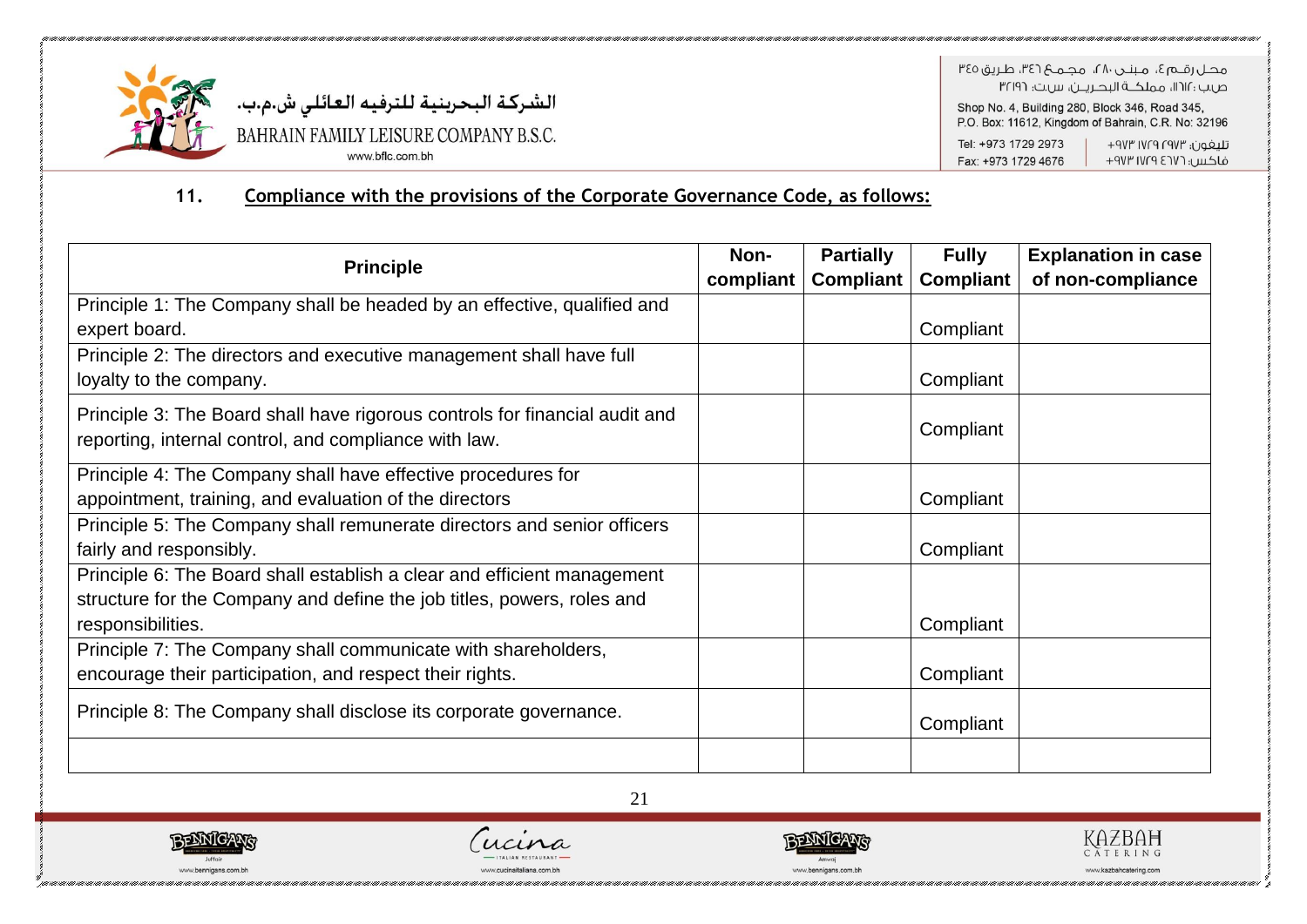

هجل رقبه ؟، منتدر ٢٨، محميم ٣٤٦، طريق ٣٤٥ ص.ب : ١١٢١١، مملكــة البحـريــن، س.ت: ٣٢١٩٦

Shop No. 4, Building 280, Block 346, Road 345, P.O. Box: 11612, Kingdom of Bahrain, C.R. No: 32196

Tel: +973 1729 2973 تليفون؛ ١٧٢٩ ١٧٢٩ ٩٧٣+

Fax: +973 1729 4676 فاكس: ١٧٢٦ ١٧٢٩ ٩٧٣

#### Compliance with the provisions of the Corporate Governance Code, as follows:  $11.$

| <b>Principle</b>                                                            |           | <b>Partially</b> | <b>Fully</b>     | <b>Explanation in case</b> |
|-----------------------------------------------------------------------------|-----------|------------------|------------------|----------------------------|
|                                                                             | compliant | <b>Compliant</b> | <b>Compliant</b> | of non-compliance          |
| Principle 1: The Company shall be headed by an effective, qualified and     |           |                  |                  |                            |
| expert board.                                                               |           |                  | Compliant        |                            |
| Principle 2: The directors and executive management shall have full         |           |                  |                  |                            |
| loyalty to the company.                                                     |           |                  | Compliant        |                            |
| Principle 3: The Board shall have rigorous controls for financial audit and |           |                  |                  |                            |
| reporting, internal control, and compliance with law.                       |           |                  | Compliant        |                            |
| Principle 4: The Company shall have effective procedures for                |           |                  |                  |                            |
| appointment, training, and evaluation of the directors                      |           |                  | Compliant        |                            |
| Principle 5: The Company shall remunerate directors and senior officers     |           |                  |                  |                            |
| fairly and responsibly.                                                     |           |                  | Compliant        |                            |
| Principle 6: The Board shall establish a clear and efficient management     |           |                  |                  |                            |
| structure for the Company and define the job titles, powers, roles and      |           |                  |                  |                            |
| responsibilities.                                                           |           |                  | Compliant        |                            |
| Principle 7: The Company shall communicate with shareholders,               |           |                  |                  |                            |
| encourage their participation, and respect their rights.                    |           |                  | Compliant        |                            |
| Principle 8: The Company shall disclose its corporate governance.           |           |                  | Compliant        |                            |
|                                                                             |           |                  |                  |                            |
| 21                                                                          |           |                  |                  |                            |





ww.cucinaitaliana.com.bh